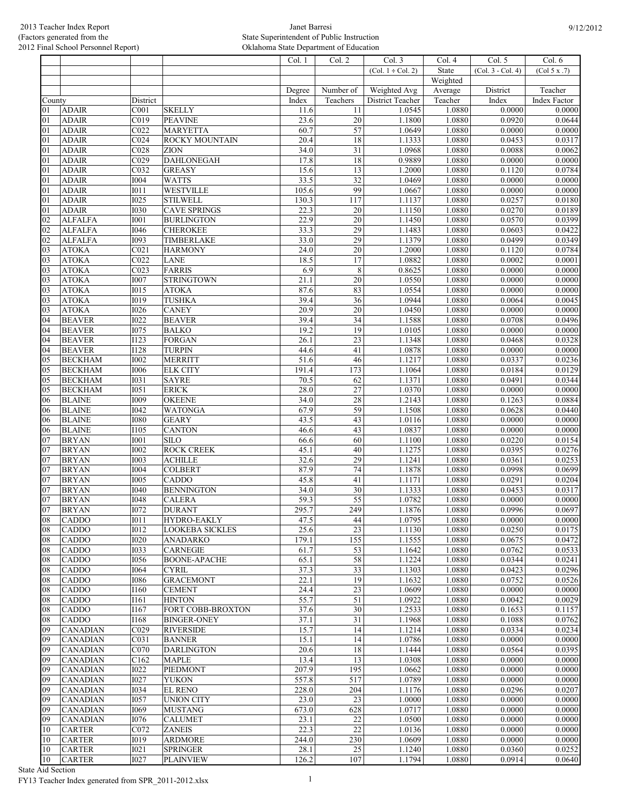|                 |                 |                   |                        | $\overline{\text{Col}}$ . 1 | Col. 2           | Col. 3                 | Col. 4   | Col. 5            | Col. 6              |
|-----------------|-----------------|-------------------|------------------------|-----------------------------|------------------|------------------------|----------|-------------------|---------------------|
|                 |                 |                   |                        |                             |                  | $(Col. 1 \div Col. 2)$ | State    | (Col. 3 - Col. 4) | (Col 5 x .7)        |
|                 |                 |                   |                        |                             |                  |                        | Weighted |                   |                     |
|                 |                 |                   |                        | Degree                      | Number of        | Weighted Avg           | Average  | District          | Teacher             |
| County          |                 | District          |                        | Index                       | Teachers         | District Teacher       | Teacher  | Index             | <b>Index Factor</b> |
| 01              | <b>ADAIR</b>    | C <sub>001</sub>  | <b>SKELLY</b>          | 11.6                        | 11               | 1.0545                 | 1.0880   | 0.0000            | 0.0000              |
| 01              | <b>ADAIR</b>    | $\overline{C019}$ | <b>PEAVINE</b>         | 23.6                        | $\overline{20}$  | 1.1800                 | 1.0880   | 0.0920            | 0.0644              |
| 01              | <b>ADAIR</b>    | CO <sub>22</sub>  | <b>MARYETTA</b>        | 60.7                        | $\overline{57}$  | 1.0649                 | 1.0880   | 0.0000            | 0.0000              |
| 01              | <b>ADAIR</b>    | CO <sub>24</sub>  | ROCKY MOUNTAIN         | 20.4                        | 18               | 1.1333                 | 1.0880   | 0.0453            | 0.0317              |
| 01              | <b>ADAIR</b>    | C <sub>028</sub>  | <b>ZION</b>            | 34.0                        | 31               | 1.0968                 | 1.0880   | 0.0088            | 0.0062              |
| 01              | <b>ADAIR</b>    | CO <sub>29</sub>  | <b>DAHLONEGAH</b>      | 17.8                        | $\overline{18}$  | 0.9889                 | 1.0880   | 0.0000            | 0.0000              |
| $\overline{01}$ | <b>ADAIR</b>    | $\overline{C032}$ | <b>GREASY</b>          | 15.6                        | $\overline{13}$  | 1.2000                 | 1.0880   | 0.1120            | 0.0784              |
| 01              | <b>ADAIR</b>    | <b>I004</b>       | <b>WATTS</b>           | 33.5                        | 32               | 1.0469                 | 1.0880   | 0.0000            | 0.0000              |
| 01              | <b>ADAIR</b>    | 1011              | <b>WESTVILLE</b>       | 105.6                       | 99               | 1.0667                 | 1.0880   | 0.0000            | 0.0000              |
|                 |                 | I025              |                        |                             | 117              | 1.1137                 | 1.0880   | 0.0257            | 0.0180              |
| 01              | <b>ADAIR</b>    |                   | <b>STILWELL</b>        | 130.3                       |                  |                        |          |                   |                     |
| 01              | <b>ADAIR</b>    | <b>I030</b>       | <b>CAVE SPRINGS</b>    | 22.3                        | $\overline{20}$  | 1.1150                 | 1.0880   | 0.0270            | 0.0189              |
| 02              | <b>ALFALFA</b>  | <b>I001</b>       | <b>BURLINGTON</b>      | 22.9                        | 20               | 1.1450                 | 1.0880   | 0.0570            | 0.0399              |
| 02              | <b>ALFALFA</b>  | <b>I046</b>       | <b>CHEROKEE</b>        | 33.3                        | 29               | 1.1483                 | 1.0880   | 0.0603            | 0.0422              |
| 02              | <b>ALFALFA</b>  | I093              | <b>TIMBERLAKE</b>      | 33.0                        | 29               | 1.1379                 | 1.0880   | 0.0499            | 0.0349              |
| 03              | <b>ATOKA</b>    | C <sub>021</sub>  | <b>HARMONY</b>         | 24.0                        | $\overline{20}$  | 1.2000                 | 1.0880   | 0.1120            | 0.0784              |
| 03              | <b>ATOKA</b>    | $\overline{C022}$ | <b>LANE</b>            | 18.5                        | 17               | 1.0882                 | 1.0880   | 0.0002            | 0.0001              |
| 03              | <b>ATOKA</b>    | $\overline{C023}$ | <b>FARRIS</b>          | 6.9                         | $\overline{8}$   | 0.8625                 | 1.0880   | 0.0000            | 0.0000              |
| 03              | <b>ATOKA</b>    | <b>I007</b>       | <b>STRINGTOWN</b>      | 21.1                        | $\overline{20}$  | 1.0550                 | 1.0880   | 0.0000            | 0.0000              |
| 03              | <b>ATOKA</b>    | I015              | <b>ATOKA</b>           | 87.6                        | 83               | 1.0554                 | 1.0880   | 0.0000            | 0.0000              |
| 03              | <b>ATOKA</b>    | 1019              | <b>TUSHKA</b>          | 39.4                        | 36               | 1.0944                 | 1.0880   | 0.0064            | 0.0045              |
| 03              | <b>ATOKA</b>    | <b>I026</b>       | <b>CANEY</b>           | 20.9                        | 20               | 1.0450                 | 1.0880   | 0.0000            | 0.0000              |
| 04              | <b>BEAVER</b>   | I022              | <b>BEAVER</b>          | 39.4                        | $\overline{34}$  | 1.1588                 | 1.0880   | 0.0708            | 0.0496              |
| 04              | <b>BEAVER</b>   | <b>I075</b>       | <b>BALKO</b>           | 19.2                        | 19               | 1.0105                 | 1.0880   | 0.0000            | 0.0000              |
| 04              | <b>BEAVER</b>   | $\overline{1123}$ | <b>FORGAN</b>          | 26.1                        | 23               | 1.1348                 | 1.0880   | 0.0468            | 0.0328              |
| 04              | <b>BEAVER</b>   | 1128              | <b>TURPIN</b>          | 44.6                        | $\overline{41}$  | 1.0878                 | 1.0880   | 0.0000            | 0.0000              |
| 05              | <b>BECKHAM</b>  | I002              | <b>MERRITT</b>         | 51.6                        | 46               | 1.1217                 | 1.0880   | 0.0337            | 0.0236              |
|                 |                 |                   |                        | 191.4                       | $\overline{173}$ |                        | 1.0880   | 0.0184            | 0.0129              |
| 05              | <b>BECKHAM</b>  | <b>I006</b>       | <b>ELK CITY</b>        |                             |                  | 1.1064                 |          |                   |                     |
| 05              | <b>BECKHAM</b>  | 1031              | <b>SAYRE</b>           | 70.5                        | 62               | 1.1371                 | 1.0880   | 0.0491            | 0.0344              |
| 05              | <b>BECKHAM</b>  | <b>I051</b>       | <b>ERICK</b>           | 28.0                        | 27               | 1.0370                 | 1.0880   | 0.0000            | 0.0000              |
| 06              | <b>BLAINE</b>   | <b>I009</b>       | <b>OKEENE</b>          | 34.0                        | 28               | 1.2143                 | 1.0880   | 0.1263            | 0.0884              |
| 06              | <b>BLAINE</b>   | <b>I042</b>       | <b>WATONGA</b>         | 67.9                        | 59               | 1.1508                 | 1.0880   | 0.0628            | 0.0440              |
| 06              | <b>BLAINE</b>   | <b>I080</b>       | <b>GEARY</b>           | 43.5                        | $\overline{43}$  | 1.0116                 | 1.0880   | 0.0000            | 0.0000              |
| 06              | <b>BLAINE</b>   | I105              | <b>CANTON</b>          | 46.6                        | 43               | 1.0837                 | 1.0880   | 0.0000            | 0.0000              |
| 07              | <b>BRYAN</b>    | I001              | <b>SILO</b>            | 66.6                        | 60               | 1.1100                 | 1.0880   | 0.0220            | 0.0154              |
| 07              | <b>BRYAN</b>    | $\overline{1002}$ | <b>ROCK CREEK</b>      | 45.1                        | 40               | 1.1275                 | 1.0880   | 0.0395            | 0.0276              |
| 07              | <b>BRYAN</b>    | <b>I003</b>       | <b>ACHILLE</b>         | 32.6                        | 29               | 1.1241                 | 1.0880   | 0.0361            | 0.0253              |
| 07              | <b>BRYAN</b>    | <b>I004</b>       | <b>COLBERT</b>         | 87.9                        | 74               | 1.1878                 | 1.0880   | 0.0998            | 0.0699              |
| 07              | <b>BRYAN</b>    | <b>I005</b>       | <b>CADDO</b>           | 45.8                        | 41               | 1.1171                 | 1.0880   | 0.0291            | 0.0204              |
| 07              | <b>BRYAN</b>    | <b>I040</b>       | <b>BENNINGTON</b>      | 34.0                        | $\overline{30}$  | 1.1333                 | 1.0880   | 0.0453            | 0.0317              |
| 07              | <b>BRYAN</b>    | <b>I048</b>       | <b>CALERA</b>          | 59.3                        | $\overline{55}$  | 1.0782                 | 1.0880   | 0.0000            | 0.0000              |
| 107             | <b>BRYAN</b>    | <b>I072</b>       | <b>DURANT</b>          | 295.7                       | 249              | 1.1876                 | 1.0880   | 0.0996            | 0.0697              |
| 08              | <b>CADDO</b>    | I011              | <b>HYDRO-EAKLY</b>     | 47.5                        | 44               | 1.0795                 | 1.0880   | 0.0000            | 0.0000              |
| 08              | <b>CADDO</b>    | <b>I012</b>       | <b>LOOKEBA SICKLES</b> | 25.6                        | $\overline{23}$  | 1.1130                 | 1.0880   | 0.0250            | 0.0175              |
| 08              | <b>CADDO</b>    | <b>I020</b>       | <b>ANADARKO</b>        | 179.1                       | 155              | 1.1555                 | 1.0880   | 0.0675            | 0.0472              |
| 08              | CADDO           | <b>I033</b>       | <b>CARNEGIE</b>        | 61.7                        | 53               | 1.1642                 | 1.0880   | 0.0762            | 0.0533              |
| 08              | <b>CADDO</b>    | 1056              | <b>BOONE-APACHE</b>    | 65.1                        | 58               | 1.1224                 | 1.0880   | 0.0344            | 0.0241              |
|                 |                 |                   |                        |                             |                  |                        | 1.0880   |                   |                     |
| 08              | <b>CADDO</b>    | <b>I064</b>       | <b>CYRIL</b>           | 37.3                        | $\overline{33}$  | 1.1303                 |          | 0.0423            | 0.0296              |
| 08              | CADDO           | 1086              | <b>GRACEMONT</b>       | 22.1                        | 19               | 1.1632                 | 1.0880   | 0.0752            | 0.0526              |
| 08              | <b>CADDO</b>    | I160              | <b>CEMENT</b>          | 24.4                        | $\overline{23}$  | 1.0609                 | 1.0880   | 0.0000            | 0.0000              |
| 08              | CADDO           | I161              | <b>HINTON</b>          | 55.7                        | 51               | 1.0922                 | 1.0880   | 0.0042            | 0.0029              |
| 08              | <b>CADDO</b>    | I167              | FORT COBB-BROXTON      | 37.6                        | $\overline{30}$  | 1.2533                 | 1.0880   | 0.1653            | 0.1157              |
| 08              | <b>CADDO</b>    | I168              | <b>BINGER-ONEY</b>     | 37.1                        | $\overline{31}$  | 1.1968                 | 1.0880   | 0.1088            | 0.0762              |
| 09              | <b>CANADIAN</b> | C <sub>029</sub>  | <b>RIVERSIDE</b>       | 15.7                        | 14               | 1.1214                 | 1.0880   | 0.0334            | 0.0234              |
| 09              | <b>CANADIAN</b> | C <sub>031</sub>  | <b>BANNER</b>          | 15.1                        | 14               | 1.0786                 | 1.0880   | 0.0000            | 0.0000              |
| 09              | CANADIAN        | C070              | <b>DARLINGTON</b>      | 20.6                        | 18               | 1.1444                 | 1.0880   | 0.0564            | 0.0395              |
| 09              | CANADIAN        | C162              | <b>MAPLE</b>           | 13.4                        | $\overline{13}$  | 1.0308                 | 1.0880   | 0.0000            | 0.0000              |
| 09              | CANADIAN        | <b>I022</b>       | PIEDMONT               | 207.9                       | 195              | 1.0662                 | 1.0880   | 0.0000            | 0.0000              |
| 09              | <b>CANADIAN</b> | <b>I027</b>       | <b>YUKON</b>           | 557.8                       | 517              | 1.0789                 | 1.0880   | 0.0000            | 0.0000              |
| 09              | CANADIAN        | <b>I034</b>       | <b>EL RENO</b>         | 228.0                       | 204              | 1.1176                 | 1.0880   | 0.0296            | 0.0207              |
| 09              | CANADIAN        | I057              | <b>UNION CITY</b>      | 23.0                        | 23               | 1.0000                 | 1.0880   | 0.0000            | 0.0000              |
| 09              | <b>CANADIAN</b> | I069              | <b>MUSTANG</b>         | 673.0                       | 628              | 1.0717                 | 1.0880   | 0.0000            | 0.0000              |
| 09              | CANADIAN        | <b>I076</b>       | <b>CALUMET</b>         | 23.1                        | $\overline{22}$  | 1.0500                 | 1.0880   | 0.0000            | 0.0000              |
| 10              | <b>CARTER</b>   | C072              | <b>ZANEIS</b>          | 22.3                        | 22               | 1.0136                 | 1.0880   | 0.0000            | 0.0000              |
| 10              | <b>CARTER</b>   | I019              | <b>ARDMORE</b>         | 244.0                       | 230              | 1.0609                 | 1.0880   | 0.0000            | 0.0000              |
| 10              | <b>CARTER</b>   | I021              | <b>SPRINGER</b>        | 28.1                        | $\overline{25}$  | 1.1240                 | 1.0880   | 0.0360            | 0.0252              |
| 10              | <b>CARTER</b>   | <b>I027</b>       | <b>PLAINVIEW</b>       | 126.2                       | 107              | 1.1794                 | 1.0880   | 0.0914            | 0.0640              |
|                 |                 |                   |                        |                             |                  |                        |          |                   |                     |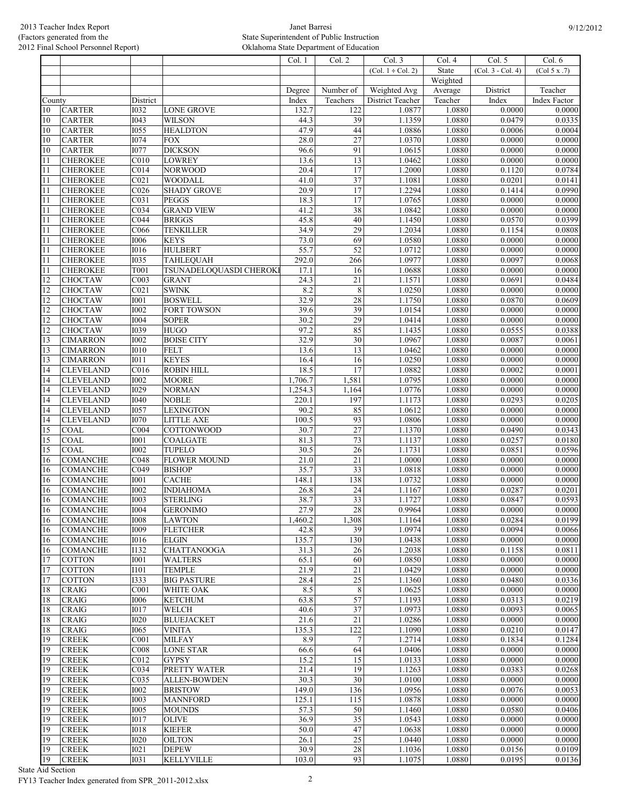|              |                                    |                            |                                  | Col. 1            | Col. 2           | Col. 3                     | Col. 4            | Col. 5              | Col. 6                 |
|--------------|------------------------------------|----------------------------|----------------------------------|-------------------|------------------|----------------------------|-------------------|---------------------|------------------------|
|              |                                    |                            |                                  |                   |                  | $(Col. 1 \div Col. 2)$     | State             | $(Col. 3 - Col. 4)$ | (Col 5 x .7)           |
|              |                                    |                            |                                  |                   |                  |                            | Weighted          |                     |                        |
|              |                                    |                            |                                  | Degree            | Number of        | Weighted Avg               | Average           | District            | Teacher                |
| County<br>10 | <b>CARTER</b>                      | District<br><b>I032</b>    | <b>LONE GROVE</b>                | Index<br>132.7    | Teachers<br>122  | District Teacher<br>1.0877 | Teacher<br>1.0880 | Index<br>0.0000     | Index Factor<br>0.0000 |
| 10           | <b>CARTER</b>                      | <b>I043</b>                | <b>WILSON</b>                    | 44.3              | 39               | 1.1359                     | 1.0880            | 0.0479              | 0.0335                 |
| 10           | <b>CARTER</b>                      | <b>I055</b>                | <b>HEALDTON</b>                  | 47.9              | 44               | 1.0886                     | 1.0880            | 0.0006              | 0.0004                 |
| 10           | <b>CARTER</b>                      | <b>I074</b>                | <b>FOX</b>                       | 28.0              | 27               | 1.0370                     | 1.0880            | 0.0000              | 0.0000                 |
| 10           | <b>CARTER</b>                      | <b>I077</b>                | <b>DICKSON</b>                   | 96.6              | 91               | 1.0615                     | 1.0880            | 0.0000              | 0.0000                 |
| 11           | <b>CHEROKEE</b>                    | C010                       | <b>LOWREY</b>                    | 13.6              | $\overline{13}$  | 1.0462                     | 1.0880            | 0.0000              | 0.0000                 |
| 11           | <b>CHEROKEE</b>                    | $\overline{C014}$          | <b>NORWOOD</b>                   | 20.4              | $\overline{17}$  | 1.2000                     | 1.0880            | 0.1120              | 0.0784                 |
| 11           | <b>CHEROKEE</b>                    | CO21                       | <b>WOODALL</b>                   | 41.0              | $\overline{37}$  | 1.1081                     | 1.0880            | 0.0201              | 0.0141                 |
| 11           | <b>CHEROKEE</b>                    | CO <sub>26</sub>           | <b>SHADY GROVE</b>               | 20.9              | $\overline{17}$  | 1.2294                     | 1.0880            | 0.1414              | 0.0990                 |
| 11           | <b>CHEROKEE</b>                    | C <sub>031</sub>           | <b>PEGGS</b>                     | 18.3              | 17               | 1.0765                     | 1.0880            | 0.0000              | 0.0000                 |
| 11           | <b>CHEROKEE</b>                    | C034                       | <b>GRAND VIEW</b>                | 41.2              | 38               | 1.0842                     | 1.0880            | 0.0000              | 0.0000                 |
| 11           | <b>CHEROKEE</b>                    | CO <sub>44</sub>           | <b>BRIGGS</b>                    | 45.8              | 40               | 1.1450                     | 1.0880            | 0.0570              | 0.0399                 |
| 11           | <b>CHEROKEE</b>                    | C066                       | <b>TENKILLER</b>                 | 34.9              | 29               | 1.2034                     | 1.0880            | 0.1154              | 0.0808                 |
| 11           | <b>CHEROKEE</b>                    | 1006                       | <b>KEYS</b>                      | 73.0              | 69               | 1.0580                     | 1.0880            | 0.0000              | 0.0000                 |
| 11           | <b>CHEROKEE</b>                    | <b>I016</b>                | <b>HULBERT</b>                   | 55.7              | $\overline{52}$  | 1.0712                     | 1.0880            | 0.0000              | 0.0000                 |
| 11           | <b>CHEROKEE</b>                    | <b>I035</b>                | TAHLEQUAH                        | 292.0             | 266              | 1.0977                     | 1.0880            | 0.0097              | 0.0068                 |
| 11           | <b>CHEROKEE</b>                    | T001                       | TSUNADELOQUASDI CHEROKI          | 17.1              | 16               | 1.0688                     | 1.0880            | 0.0000              | 0.0000                 |
| 12           | <b>CHOCTAW</b>                     | CO <sub>03</sub>           | <b>GRANT</b>                     | 24.3              | $\overline{21}$  | 1.1571                     | 1.0880            | 0.0691              | 0.0484                 |
| 12           | CHOCTAW                            | CO <sub>21</sub>           | <b>SWINK</b>                     | 8.2               | $\,8\,$          | 1.0250                     | 1.0880            | 0.0000              | 0.0000                 |
| 12           | <b>CHOCTAW</b>                     | <b>I001</b>                | <b>BOSWELL</b>                   | 32.9              | 28               | 1.1750                     | 1.0880            | 0.0870              | 0.0609                 |
| 12           | <b>CHOCTAW</b>                     | <b>I002</b>                | <b>FORT TOWSON</b>               | 39.6              | 39               | 1.0154                     | 1.0880            | 0.0000              | 0.0000                 |
| 12           | <b>CHOCTAW</b>                     | <b>I004</b>                | <b>SOPER</b>                     | 30.2              | 29               | 1.0414                     | 1.0880            | 0.0000              | 0.0000                 |
| 12           | <b>CHOCTAW</b>                     | <b>I039</b>                | <b>HUGO</b>                      | 97.2              | 85               | 1.1435                     | 1.0880            | 0.0555              | 0.0388                 |
| 13           | <b>CIMARRON</b>                    | <b>I002</b>                | <b>BOISE CITY</b>                | 32.9              | 30               | 1.0967                     | 1.0880            | 0.0087              | 0.0061                 |
| 13           | <b>CIMARRON</b>                    | <b>I010</b>                | <b>FELT</b>                      | 13.6              | 13               | 1.0462                     | 1.0880            | 0.0000              | 0.0000                 |
| 13           | <b>CIMARRON</b>                    | I011                       | <b>KEYES</b>                     | 16.4              | 16               | 1.0250                     | 1.0880            | 0.0000              | 0.0000                 |
| 14           | <b>CLEVELAND</b>                   | CO16                       | <b>ROBIN HILL</b>                | 18.5              | 17               | 1.0882                     | 1.0880            | 0.0002              | 0.0001                 |
| 14           | <b>CLEVELAND</b>                   | <b>I002</b>                | <b>MOORE</b>                     | 1,706.7           | 1,581            | 1.0795                     | 1.0880            | 0.0000              | 0.0000                 |
| 14           | <b>CLEVELAND</b>                   | <b>I029</b>                | <b>NORMAN</b>                    | 1,254.3           | 1,164            | 1.0776                     | 1.0880            | 0.0000              | 0.0000                 |
| 14           | <b>CLEVELAND</b>                   | <b>I040</b>                | <b>NOBLE</b>                     | 220.1             | 197              | 1.1173                     | 1.0880            | 0.0293              | 0.0205                 |
| 14           | <b>CLEVELAND</b>                   | <b>I057</b>                | <b>LEXINGTON</b>                 | 90.2              | 85               | 1.0612                     | 1.0880            | 0.0000              | 0.0000                 |
| 14           | <b>CLEVELAND</b>                   | <b>I070</b>                | <b>LITTLE AXE</b>                | 100.5             | 93               | 1.0806                     | 1.0880            | 0.0000              | 0.0000                 |
| 15           | <b>COAL</b>                        | CO04                       | COTTONWOOD                       | 30.7              | $\overline{27}$  | 1.1370                     | 1.0880            | 0.0490              | 0.0343                 |
| 15           | COAL                               | <b>I001</b>                | <b>COALGATE</b>                  | 81.3              | 73               | 1.1137                     | 1.0880            | 0.0257              | 0.0180                 |
| 15           | COAL                               | 1002                       | <b>TUPELO</b>                    | 30.5              | $\overline{26}$  | 1.1731                     | 1.0880            | 0.0851              | 0.0596                 |
| 16           | <b>COMANCHE</b>                    | CO48                       | <b>FLOWER MOUND</b>              | 21.0              | 21               | 1.0000                     | 1.0880            | 0.0000              | 0.0000                 |
| 16           | <b>COMANCHE</b>                    | CO49                       | <b>BISHOP</b>                    | 35.7              | 33               | 1.0818                     | 1.0880            | 0.0000              | 0.0000                 |
| 16           | <b>COMANCHE</b>                    | <b>I001</b>                | <b>CACHE</b>                     | 148.1             | 138              | 1.0732                     | 1.0880            | 0.0000              | 0.0000                 |
| 16           | <b>COMANCHE</b>                    | <b>I002</b>                | <b>INDIAHOMA</b>                 | 26.8              | 24               | 1.1167                     | 1.0880            | 0.0287              | 0.0201                 |
| 16           | <b>COMANCHE</b>                    | <b>I003</b>                | <b>STERLING</b>                  | 38.7              | $\overline{33}$  | 1.1727                     | 1.0880            | 0.0847              | 0.0593                 |
| 16           | <b>COMANCHE</b>                    | 1004                       | <b>GERONIMO</b>                  | 27.9              | 28               | 0.9964                     | 1.0880<br>1.0880  | 0.0000              | 0.0000<br>0.0199       |
| 16           | <b>COMANCHE</b><br><b>COMANCHE</b> | <b>I008</b><br><b>I009</b> | <b>LAWTON</b><br><b>FLETCHER</b> | 1,460.2<br>42.8   | 1,308<br>39      | 1.1164<br>1.0974           | 1.0880            | 0.0284<br>0.0094    | 0.0066                 |
| 16<br>16     | <b>COMANCHE</b>                    | <b>I016</b>                | <b>ELGIN</b>                     | 135.7             | 130              | 1.0438                     | 1.0880            | 0.0000              | 0.0000                 |
|              | <b>COMANCHE</b>                    | I132                       | <b>CHATTANOOGA</b>               | 31.3              | 26               | 1.2038                     | 1.0880            | 0.1158              | 0.0811                 |
| 16<br>17     | <b>COTTON</b>                      | <b>I001</b>                | <b>WALTERS</b>                   | 65.1              | 60               | 1.0850                     | 1.0880            | 0.0000              | 0.0000                 |
| 17           | <b>COTTON</b>                      | I101                       | <b>TEMPLE</b>                    | 21.9              | 21               | 1.0429                     | 1.0880            | 0.0000              | 0.0000                 |
| 17           | <b>COTTON</b>                      | <b>I333</b>                | <b>BIG PASTURE</b>               | 28.4              | $\overline{25}$  | 1.1360                     | 1.0880            | 0.0480              | 0.0336                 |
| 18           | <b>CRAIG</b>                       | CO <sub>01</sub>           | WHITE OAK                        | 8.5               | $\,$ 8 $\,$      | 1.0625                     | 1.0880            | 0.0000              | 0.0000                 |
| 18           | <b>CRAIG</b>                       | <b>I006</b>                | <b>KETCHUM</b>                   | $63.\overline{8}$ | 57               | 1.1193                     | 1.0880            | 0.0313              | 0.0219                 |
| 18           | <b>CRAIG</b>                       | <b>I017</b>                | <b>WELCH</b>                     | 40.6              | $\overline{37}$  | 1.0973                     | 1.0880            | 0.0093              | 0.0065                 |
| 18           | <b>CRAIG</b>                       | <b>I020</b>                | <b>BLUEJACKET</b>                | 21.6              | 21               | 1.0286                     | 1.0880            | 0.0000              | 0.0000                 |
| 18           | <b>CRAIG</b>                       | <b>I065</b>                | <b>VINITA</b>                    | 135.3             | 122              | 1.1090                     | 1.0880            | 0.0210              | 0.0147                 |
| 19           | <b>CREEK</b>                       | CO01                       | <b>MILFAY</b>                    | 8.9               | $\boldsymbol{7}$ | 1.2714                     | 1.0880            | 0.1834              | 0.1284                 |
| 19           | <b>CREEK</b>                       | C008                       | <b>LONE STAR</b>                 | 66.6              | 64               | 1.0406                     | 1.0880            | 0.0000              | 0.0000                 |
| 19           | <b>CREEK</b>                       | C012                       | <b>GYPSY</b>                     | 15.2              | $\overline{15}$  | 1.0133                     | 1.0880            | 0.0000              | 0.0000                 |
| 19           | <b>CREEK</b>                       | CO34                       | PRETTY WATER                     | 21.4              | 19               | 1.1263                     | 1.0880            | 0.0383              | 0.0268                 |
| 19           | <b>CREEK</b>                       | C035                       | <b>ALLEN-BOWDEN</b>              | 30.3              | 30               | 1.0100                     | 1.0880            | 0.0000              | 0.0000                 |
| 19           | <b>CREEK</b>                       | 1002                       | <b>BRISTOW</b>                   | 149.0             | 136              | 1.0956                     | 1.0880            | 0.0076              | 0.0053                 |
| 19           | <b>CREEK</b>                       | <b>I003</b>                | <b>MANNFORD</b>                  | 125.1             | 115              | 1.0878                     | 1.0880            | 0.0000              | 0.0000                 |
| 19           | <b>CREEK</b>                       | <b>I005</b>                | <b>MOUNDS</b>                    | $\overline{57.3}$ | 50               | 1.1460                     | 1.0880            | 0.0580              | 0.0406                 |
| 19           | <b>CREEK</b>                       | 1017                       | <b>OLIVE</b>                     | 36.9              | 35               | 1.0543                     | 1.0880            | 0.0000              | 0.0000                 |
| 19           | <b>CREEK</b>                       | <b>IO18</b>                | <b>KIEFER</b>                    | 50.0              | 47               | 1.0638                     | 1.0880            | 0.0000              | 0.0000                 |
| 19           | <b>CREEK</b>                       | <b>I020</b>                | <b>OILTON</b>                    | 26.1              | $\overline{25}$  | 1.0440                     | 1.0880            | 0.0000              | 0.0000                 |
| 19           | <b>CREEK</b>                       | I021                       | <b>DEPEW</b>                     | 30.9              | 28               | 1.1036                     | 1.0880            | 0.0156              | 0.0109                 |
| 19           | <b>CREEK</b>                       | <b>I031</b>                | KELLYVILLE                       | 103.0             | 93               | 1.1075                     | 1.0880            | 0.0195              | 0.0136                 |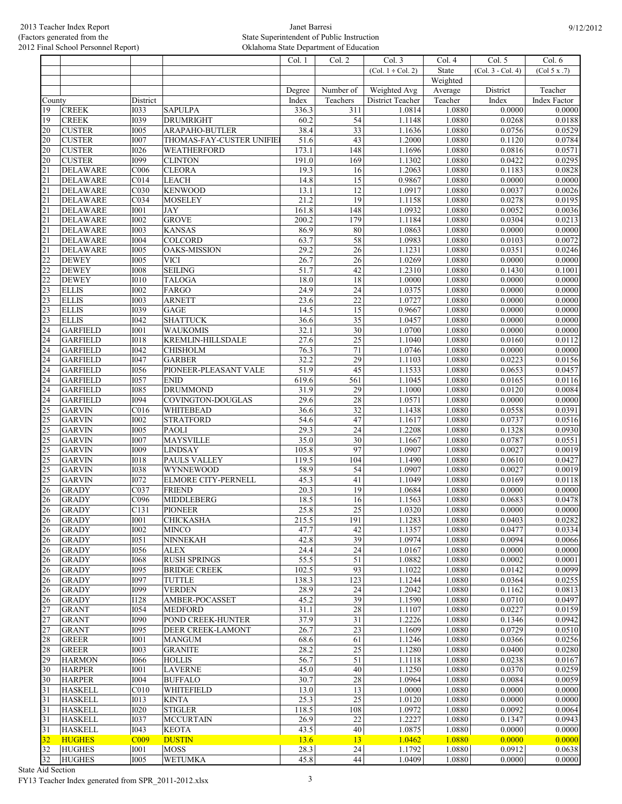|                 |                 |                            |                                  | Col. 1       | Col. 2                | Col. 3                 | Col. 4           | Col. 5              | Col. 6           |
|-----------------|-----------------|----------------------------|----------------------------------|--------------|-----------------------|------------------------|------------------|---------------------|------------------|
|                 |                 |                            |                                  |              |                       | $(Col. 1 \div Col. 2)$ | State            | $(Col. 3 - Col. 4)$ | (Col 5 x .7)     |
|                 |                 |                            |                                  |              |                       |                        | Weighted         |                     |                  |
|                 |                 |                            |                                  | Degree       | Number of             | Weighted Avg           | Average          | District            | Teacher          |
| County          |                 | District                   |                                  | Index        | Teachers              | District Teacher       | Teacher          | Index               | Index Factor     |
| 19              | <b>CREEK</b>    | <b>I033</b>                | <b>SAPULPA</b>                   | 336.3        | 311                   | 1.0814                 | 1.0880           | 0.0000              | 0.0000           |
| 19              | <b>CREEK</b>    | <b>I039</b>                | <b>DRUMRIGHT</b>                 | 60.2         | 54                    | 1.1148                 | 1.0880           | 0.0268              | 0.0188           |
| 20              | <b>CUSTER</b>   | 1005                       | ARAPAHO-BUTLER                   | 38.4         | $\overline{33}$       | 1.1636                 | 1.0880           | 0.0756              | 0.0529           |
| 20              | <b>CUSTER</b>   | <b>I007</b>                |                                  | 51.6         | 43                    | 1.2000                 | 1.0880           | 0.1120              | 0.0784           |
|                 |                 |                            | THOMAS-FAY-CUSTER UNIFIE         |              |                       |                        |                  |                     |                  |
| 20              | <b>CUSTER</b>   | <b>I026</b><br><b>I099</b> | WEATHERFORD                      | 173.1        | 148<br>169            | 1.1696                 | 1.0880<br>1.0880 | 0.0816              | 0.0571           |
| 20              | <b>CUSTER</b>   |                            | <b>CLINTON</b>                   | 191.0        |                       | 1.1302                 |                  | 0.0422              | 0.0295           |
| $\overline{21}$ | <b>DELAWARE</b> | C006                       | <b>CLEORA</b>                    | 19.3         | 16                    | 1.2063                 | 1.0880           | 0.1183              | 0.0828           |
| $\overline{21}$ | <b>DELAWARE</b> | $\overline{C014}$          | <b>LEACH</b>                     | 14.8         | 15                    | 0.9867                 | 1.0880           | 0.0000              | 0.0000           |
| 21              | <b>DELAWARE</b> | C030                       | <b>KENWOOD</b>                   | 13.1         | 12                    | 1.0917                 | 1.0880           | 0.0037              | 0.0026           |
| 21              | <b>DELAWARE</b> | $\overline{C}034$          | <b>MOSELEY</b>                   | 21.2         | 19                    | 1.1158                 | 1.0880           | 0.0278              | 0.0195           |
| 21              | <b>DELAWARE</b> | I001                       | <b>JAY</b>                       | 161.8        | 148                   | 1.0932                 | 1.0880           | 0.0052              | 0.0036           |
| $\overline{21}$ | <b>DELAWARE</b> | <b>I002</b>                | <b>GROVE</b>                     | 200.2        | 179                   | 1.1184                 | 1.0880           | 0.0304              | 0.0213           |
| $\overline{21}$ | <b>DELAWARE</b> | <b>I003</b>                | <b>KANSAS</b>                    | 86.9         | 80                    | 1.0863                 | 1.0880           | 0.0000              | 0.0000           |
| 21              | <b>DELAWARE</b> | I004                       | COLCORD                          | 63.7         | 58                    | 1.0983                 | 1.0880           | 0.0103              | 0.0072           |
| $\overline{21}$ | <b>DELAWARE</b> | $\overline{1005}$          | <b>OAKS-MISSION</b>              | 29.2         | $\overline{26}$       | 1.1231                 | 1.0880           | 0.0351              | 0.0246           |
| $\overline{22}$ | <b>DEWEY</b>    | <b>I005</b>                | <b>VICI</b>                      | 26.7         | 26                    | 1.0269                 | 1.0880           | 0.0000              | 0.0000           |
| $\overline{22}$ | <b>DEWEY</b>    | <b>I008</b>                | <b>SEILING</b>                   | 51.7         | 42                    | 1.2310                 | 1.0880           | 0.1430              | 0.1001           |
| $\overline{22}$ | <b>DEWEY</b>    | I010                       | <b>TALOGA</b>                    | 18.0         | 18                    | 1.0000                 | 1.0880           | 0.0000              | 0.0000           |
| 23              | <b>ELLIS</b>    | 1002                       | FARGO                            | 24.9         | $\overline{24}$       | 1.0375                 | 1.0880           | 0.0000              | 0.0000           |
| $\overline{23}$ | <b>ELLIS</b>    | <b>I003</b>                | <b>ARNETT</b>                    | 23.6         | $\overline{22}$       | 1.0727                 | 1.0880           | 0.0000              | 0.0000           |
| $\overline{23}$ | <b>ELLIS</b>    | <b>I039</b>                | <b>GAGE</b>                      | 14.5         | $\overline{15}$       | 0.9667                 | 1.0880           | 0.0000              | 0.0000           |
| 23              | <b>ELLIS</b>    | I042                       | <b>SHATTUCK</b>                  | 36.6         | $\overline{35}$       | 1.0457                 | 1.0880           | 0.0000              | 0.0000           |
| $\overline{24}$ | <b>GARFIELD</b> | $\overline{1001}$          | <b>WAUKOMIS</b>                  | 32.1         | $\overline{30}$       | 1.0700                 | 1.0880           | 0.0000              | 0.0000           |
| 24              | <b>GARFIELD</b> | <b>I018</b>                | KREMLIN-HILLSDALE                | 27.6         | $\overline{25}$       | 1.1040                 | 1.0880           | 0.0160              | 0.0112           |
| 24              | <b>GARFIELD</b> | $\overline{1042}$          | CHISHOLM                         | 76.3         | 71                    | 1.0746                 | 1.0880           | 0.0000              | 0.0000           |
| 24              | <b>GARFIELD</b> | <b>I047</b>                | <b>GARBER</b>                    | 32.2         | $\overline{29}$       | 1.1103                 | 1.0880           | 0.0223              | 0.0156           |
| 24              | <b>GARFIELD</b> | <b>I056</b>                | PIONEER-PLEASANT VALE            | 51.9         | 45                    | 1.1533                 | 1.0880           | 0.0653              | 0.0457           |
| 24              | <b>GARFIELD</b> | <b>I057</b>                | <b>ENID</b>                      | 619.6        | 561                   | 1.1045                 | 1.0880           | 0.0165              | 0.0116           |
| 24              | <b>GARFIELD</b> | <b>I085</b>                | <b>DRUMMOND</b>                  | 31.9         | 29                    | 1.1000                 | 1.0880           | 0.0120              | 0.0084           |
| 24              | <b>GARFIELD</b> | <b>I094</b>                | COVINGTON-DOUGLAS                | 29.6         | $\overline{28}$       | 1.0571                 | 1.0880           | 0.0000              | 0.0000           |
| $\overline{25}$ | <b>GARVIN</b>   | $\overline{C016}$          | <b>WHITEBEAD</b>                 | 36.6         | $\overline{32}$       | 1.1438                 | 1.0880           | 0.0558              | 0.0391           |
| 25              | <b>GARVIN</b>   | <b>I002</b>                | <b>STRATFORD</b>                 | 54.6         | $\overline{47}$       | 1.1617                 | 1.0880           | 0.0737              | 0.0516           |
| $\overline{25}$ | <b>GARVIN</b>   | <b>I005</b>                | <b>PAOLI</b>                     | 29.3         | 24                    | 1.2208                 | 1.0880           | 0.1328              | 0.0930           |
| 25              | <b>GARVIN</b>   | <b>I007</b>                | <b>MAYSVILLE</b>                 | 35.0         | $\overline{30}$       | 1.1667                 | 1.0880           | 0.0787              | 0.0551           |
| 25              | <b>GARVIN</b>   | I009                       | <b>LINDSAY</b>                   | 105.8        | 97                    | 1.0907                 | 1.0880           | 0.0027              | 0.0019           |
| 25              | <b>GARVIN</b>   | 1018                       | <b>PAULS VALLEY</b>              | 119.5        | 104                   | 1.1490                 | 1.0880           | 0.0610              | 0.0427           |
| $\overline{25}$ | <b>GARVIN</b>   | 1038                       | <b>WYNNEWOOD</b>                 | 58.9         | 54                    | 1.0907                 | 1.0880           | 0.0027              | 0.0019           |
| 25              | <b>GARVIN</b>   | <b>I072</b>                | <b>ELMORE CITY-PERNELL</b>       | 45.3         | 41                    | 1.1049                 | 1.0880           | 0.0169              | 0.0118           |
| $\overline{26}$ | <b>GRADY</b>    | C037                       | <b>FRIEND</b>                    | 20.3         | 19                    | 1.0684                 | 1.0880           | 0.0000              | 0.0000           |
| 26              | <b>GRADY</b>    | C096                       | <b>MIDDLEBERG</b>                | 18.5         | 16                    | 1.1563                 | 1.0880           | 0.0683              | 0.0478           |
| 26              | <b>GRADY</b>    | C <sub>131</sub>           | <b>PIONEER</b>                   | 25.8         | 25                    | 1.0320                 | 1.0880           | 0.0000              | 0.0000           |
| 26              | <b>GRADY</b>    | <b>I001</b>                | <b>CHICKASHA</b>                 | 215.5        | 191                   | 1.1283                 | 1.0880           | 0.0403              | 0.0282           |
| 26              | <b>GRADY</b>    | <b>I002</b>                | <b>MINCO</b>                     | 47.7         | 42                    | 1.1357                 | 1.0880           | 0.0477              | 0.0334           |
| 26              | <b>GRADY</b>    | <b>I051</b>                | <b>NINNEKAH</b>                  | 42.8         | 39                    | 1.0974                 | 1.0880           | 0.0094              | 0.0066           |
| 26              | <b>GRADY</b>    | <b>I056</b>                | <b>ALEX</b>                      | 24.4         | $\overline{24}$       | 1.0167                 | 1.0880           | 0.0000              | 0.0000           |
| 26              | <b>GRADY</b>    | <b>I068</b>                | <b>RUSH SPRINGS</b>              | 55.5         | 51                    | 1.0882                 | 1.0880           | 0.0002              | 0.0001           |
| 26              | <b>GRADY</b>    | <b>I095</b>                | <b>BRIDGE CREEK</b>              | 102.5        | 93                    | 1.1022                 | 1.0880           | 0.0142              | 0.0099           |
|                 | <b>GRADY</b>    | 1097                       | TUTTLE                           | 138.3        | 123                   | 1.1244                 | 1.0880           | 0.0364              | 0.0255           |
| 26              |                 | <b>I099</b>                | <b>VERDEN</b>                    |              |                       | 1.2042                 |                  |                     | 0.0813           |
| 26              | <b>GRADY</b>    |                            |                                  | 28.9         | 24                    |                        | 1.0880           | 0.1162              |                  |
| 26<br>27        | <b>GRADY</b>    | <b>I128</b><br><b>I054</b> | AMBER-POCASSET<br><b>MEDFORD</b> | 45.2<br>31.1 | 39<br>$\overline{28}$ | 1.1590                 | 1.0880<br>1.0880 | 0.0710<br>0.0227    | 0.0497<br>0.0159 |
|                 | <b>GRANT</b>    |                            |                                  |              |                       | 1.1107                 |                  |                     |                  |
| 27              | <b>GRANT</b>    | <b>I090</b>                | POND CREEK-HUNTER                | 37.9         | $\overline{31}$       | 1.2226                 | 1.0880           | 0.1346              | 0.0942           |
| 27              | <b>GRANT</b>    | <b>I095</b>                | DEER CREEK-LAMONT                | 26.7         | $\overline{23}$       | 1.1609                 | 1.0880           | 0.0729              | 0.0510           |
| 28              | <b>GREER</b>    | <b>I001</b>                | <b>MANGUM</b>                    | 68.6         | 61                    | 1.1246                 | 1.0880           | 0.0366              | 0.0256           |
| 28              | <b>GREER</b>    | <b>I003</b>                | <b>GRANITE</b>                   | 28.2         | 25                    | 1.1280                 | 1.0880           | 0.0400              | 0.0280           |
| 29              | <b>HARMON</b>   | 1066                       | <b>HOLLIS</b>                    | 56.7         | 51                    | 1.1118                 | 1.0880           | 0.0238              | 0.0167           |
| 30              | <b>HARPER</b>   | <b>I001</b>                | <b>LAVERNE</b>                   | 45.0         | 40                    | 1.1250                 | 1.0880           | 0.0370              | 0.0259           |
| 30              | <b>HARPER</b>   | <b>I004</b>                | <b>BUFFALO</b>                   | 30.7         | 28                    | 1.0964                 | 1.0880           | 0.0084              | 0.0059           |
| 31              | <b>HASKELL</b>  | CO10                       | WHITEFIELD                       | 13.0         | 13                    | 1.0000                 | 1.0880           | 0.0000              | 0.0000           |
| 31              | <b>HASKELL</b>  | I013                       | <b>KINTA</b>                     | 25.3         | $\overline{25}$       | 1.0120                 | 1.0880           | 0.0000              | 0.0000           |
| 31              | <b>HASKELL</b>  | 1020                       | <b>STIGLER</b>                   | 118.5        | 108                   | 1.0972                 | 1.0880           | 0.0092              | 0.0064           |
| 31              | <b>HASKELL</b>  | <b>I037</b>                | <b>MCCURTAIN</b>                 | 26.9         | $\overline{22}$       | 1.2227                 | 1.0880           | 0.1347              | 0.0943           |
| 31              | <b>HASKELL</b>  | I043                       | <b>KEOTA</b>                     | 43.5         | 40                    | 1.0875                 | 1.0880           | 0.0000              | 0.0000           |
| 32              | <b>HUGHES</b>   | C <sub>009</sub>           | <b>DUSTIN</b>                    | 13.6         | 13                    | 1.0462                 | 1.0880           | 0.0000              | 0.0000           |
| 32              | <b>HUGHES</b>   | <b>I001</b>                | <b>MOSS</b>                      | 28.3         | 24                    | 1.1792                 | 1.0880           | 0.0912              | 0.0638           |
| 32              | <b>HUGHES</b>   | <b>I005</b>                | <b>WETUMKA</b>                   | 45.8         | $\sqrt{44}$           | 1.0409                 | 1.0880           | 0.0000              | 0.0000           |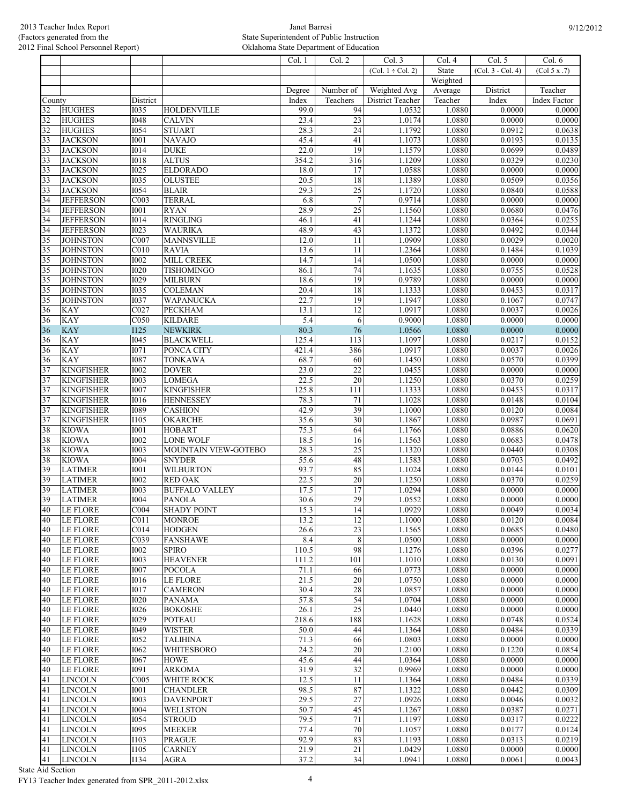|          |                                    |                            |                                    | Col. 1        | Col. 2                | Col. 3                 | Col. 4           | Col. 5            | Col. 6           |
|----------|------------------------------------|----------------------------|------------------------------------|---------------|-----------------------|------------------------|------------------|-------------------|------------------|
|          |                                    |                            |                                    |               |                       | $(Col. 1 \div Col. 2)$ | State            | (Col. 3 - Col. 4) | (Col 5 x .7)     |
|          |                                    |                            |                                    |               |                       |                        | Weighted         |                   |                  |
|          |                                    |                            |                                    | Degree        | Number of             | Weighted Avg           | Average          | District          | Teacher          |
| County   |                                    | District                   |                                    | Index         | Teachers              | District Teacher       | Teacher          | Index             | Index Factor     |
| 32       | <b>HUGHES</b>                      | <b>I035</b>                | <b>HOLDENVILLE</b>                 | 99.0          | 94                    | 1.0532                 | 1.0880           | 0.0000            | 0.0000           |
| 32<br>32 | <b>HUGHES</b><br><b>HUGHES</b>     | <b>I048</b><br><b>I054</b> | <b>CALVIN</b>                      | 23.4          | $\overline{23}$<br>24 | 1.0174                 | 1.0880           | 0.0000<br>0.0912  | 0.0000<br>0.0638 |
|          | <b>JACKSON</b>                     | <b>I001</b>                | <b>STUART</b><br><b>NAVAJO</b>     | 28.3<br>45.4  | 41                    | 1.1792<br>1.1073       | 1.0880<br>1.0880 | 0.0193            | 0.0135           |
| 33       |                                    | <b>I014</b>                | <b>DUKE</b>                        | 22.0          | 19                    |                        | 1.0880           | 0.0699            | 0.0489           |
| 33       | <b>JACKSON</b><br><b>JACKSON</b>   | <b>I018</b>                | <b>ALTUS</b>                       |               | 316                   | 1.1579<br>1.1209       | 1.0880           | 0.0329            | 0.0230           |
| 33       |                                    | <b>I025</b>                |                                    | 354.2<br>18.0 | 17                    |                        |                  |                   |                  |
| 33       | <b>JACKSON</b><br><b>JACKSON</b>   | <b>I035</b>                | <b>ELDORADO</b><br><b>OLUSTEE</b>  | 20.5          | 18                    | 1.0588<br>1.1389       | 1.0880<br>1.0880 | 0.0000<br>0.0509  | 0.0000<br>0.0356 |
| 33       |                                    | <b>I054</b>                |                                    | 29.3          |                       |                        | 1.0880           | 0.0840            | 0.0588           |
| 33<br>34 | <b>JACKSON</b><br><b>JEFFERSON</b> | COO3                       | <b>BLAIR</b><br><b>TERRAL</b>      | 6.8           | 25<br>$\overline{7}$  | 1.1720<br>0.9714       | 1.0880           | 0.0000            | 0.0000           |
| 34       | <b>JEFFERSON</b>                   | <b>I001</b>                | <b>RYAN</b>                        | 28.9          | 25                    | 1.1560                 | 1.0880           | 0.0680            | 0.0476           |
| 34       | <b>JEFFERSON</b>                   | <b>I014</b>                | <b>RINGLING</b>                    | 46.1          | 41                    | 1.1244                 | 1.0880           | 0.0364            | 0.0255           |
| 34       | <b>JEFFERSON</b>                   | <b>I023</b>                | <b>WAURIKA</b>                     | 48.9          | 43                    | 1.1372                 | 1.0880           | 0.0492            | 0.0344           |
| 35       | <b>JOHNSTON</b>                    | C007                       | <b>MANNSVILLE</b>                  | 12.0          | 11                    | 1.0909                 | 1.0880           | 0.0029            | 0.0020           |
| 35       | <b>JOHNSTON</b>                    | C <sub>010</sub>           | <b>RAVIA</b>                       | 13.6          | 11                    | 1.2364                 | 1.0880           | 0.1484            | 0.1039           |
|          |                                    |                            |                                    | 14.7          | 14                    |                        | 1.0880           | 0.0000            | 0.0000           |
| 35       | <b>JOHNSTON</b>                    | <b>I002</b><br><b>I020</b> | MILL CREEK                         | 86.1          | 74                    | 1.0500                 |                  | 0.0755            | 0.0528           |
| 35       | <b>JOHNSTON</b>                    | <b>I029</b>                | TISHOMINGO<br><b>MILBURN</b>       | 18.6          | 19                    | 1.1635<br>0.9789       | 1.0880           |                   |                  |
| 35       | <b>JOHNSTON</b>                    |                            |                                    |               |                       |                        | 1.0880           | 0.0000            | 0.0000           |
| 35<br>35 | <b>JOHNSTON</b><br><b>JOHNSTON</b> | <b>I035</b><br><b>I037</b> | <b>COLEMAN</b><br><b>WAPANUCKA</b> | 20.4<br>22.7  | 18<br>19              | 1.1333                 | 1.0880<br>1.0880 | 0.0453<br>0.1067  | 0.0317<br>0.0747 |
|          |                                    |                            |                                    |               |                       | 1.1947                 |                  |                   |                  |
| 36<br>36 | <b>KAY</b><br><b>KAY</b>           | C027<br>C050               | <b>PECKHAM</b><br><b>KILDARE</b>   | 13.1<br>5.4   | 12<br>6               | 1.0917<br>0.9000       | 1.0880<br>1.0880 | 0.0037<br>0.0000  | 0.0026<br>0.0000 |
|          |                                    |                            |                                    |               |                       |                        |                  |                   |                  |
| 36       | <b>KAY</b>                         | <b>I125</b>                | <b>NEWKIRK</b>                     | 80.3          | 76                    | 1.0566                 | 1.0880           | 0.0000            | 0.0000<br>0.0152 |
| 36       | <b>KAY</b>                         | I045                       | <b>BLACKWELL</b>                   | 125.4         | 113                   | 1.1097                 | 1.0880           | 0.0217<br>0.0037  |                  |
| 36       | <b>KAY</b>                         | <b>I071</b>                | PONCA CITY                         | 421.4         | 386                   | 1.0917                 | 1.0880           |                   | 0.0026           |
| 36       | <b>KAY</b>                         | <b>I087</b>                | <b>TONKAWA</b>                     | 68.7          | 60<br>$\overline{22}$ | 1.1450                 | 1.0880           | 0.0570            | 0.0399           |
| 37       | <b>KINGFISHER</b>                  | <b>I002</b>                | <b>DOVER</b>                       | 23.0          |                       | 1.0455                 | 1.0880           | 0.0000            | 0.0000           |
| 37       | <b>KINGFISHER</b>                  | <b>I003</b>                | <b>LOMEGA</b>                      | 22.5          | 20                    | 1.1250                 | 1.0880           | 0.0370            | 0.0259           |
| 37       | <b>KINGFISHER</b>                  | <b>I007</b>                | <b>KINGFISHER</b>                  | 125.8         | 111                   | 1.1333                 | 1.0880           | 0.0453            | 0.0317           |
| 37       | <b>KINGFISHER</b>                  | <b>I016</b>                | <b>HENNESSEY</b>                   | 78.3          | 71                    | 1.1028                 | 1.0880           | 0.0148            | 0.0104           |
| 37       | <b>KINGFISHER</b>                  | <b>I089</b>                | <b>CASHION</b>                     | 42.9          | 39                    | 1.1000                 | 1.0880           | 0.0120            | 0.0084           |
| 37       | <b>KINGFISHER</b>                  | <b>I105</b>                | OKARCHE                            | 35.6          | 30                    | 1.1867                 | 1.0880           | 0.0987            | 0.0691           |
| 38       | <b>KIOWA</b>                       | <b>I001</b>                | <b>HOBART</b>                      | 75.3          | 64                    | 1.1766                 | 1.0880           | 0.0886            | 0.0620           |
| 38       | <b>KIOWA</b><br><b>KIOWA</b>       | <b>I002</b><br><b>I003</b> | <b>LONE WOLF</b>                   | 18.5<br>28.3  | 16<br>$\overline{25}$ | 1.1563<br>1.1320       | 1.0880           | 0.0683            | 0.0478<br>0.0308 |
| 38       |                                    |                            | MOUNTAIN VIEW-GOTEBO               |               |                       |                        | 1.0880           | 0.0440            |                  |
| 38       | <b>KIOWA</b>                       | <b>I004</b>                | <b>SNYDER</b>                      | 55.6          | 48                    | 1.1583                 | 1.0880           | 0.0703            | 0.0492           |
| 39       | <b>LATIMER</b>                     | <b>I001</b>                | <b>WILBURTON</b>                   | 93.7          | 85<br>20              | 1.1024                 | 1.0880           | 0.0144            | 0.0101           |
| 39       | <b>LATIMER</b>                     | <b>I002</b>                | <b>RED OAK</b>                     | 22.5          |                       | 1.1250                 | 1.0880           | 0.0370            | 0.0259           |
| 39       | <b>LATIMER</b>                     | <b>I003</b>                | <b>BUFFALO VALLEY</b>              | 17.5          | 17                    | 1.0294                 | 1.0880           | 0.0000            | 0.0000           |
| 39       | <b>LATIMER</b>                     | <b>I004</b>                | <b>PANOLA</b>                      | 30.6          | 29                    | 1.0552                 | 1.0880           | 0.0000            | 0.0000           |
| 40       | LE FLORE                           | CO04                       | <b>SHADY POINT</b>                 | 15.3          | 14                    | 1.0929                 | 1.0880           | 0.0049            | 0.0034           |
| 40       | <b>LE FLORE</b>                    | C <sub>011</sub>           | <b>MONROE</b>                      | 13.2          | 12                    | 1.1000                 | 1.0880           | 0.0120            | 0.0084           |
| 40       | LE FLORE                           | C <sub>014</sub>           | <b>HODGEN</b>                      | 26.6          | 23                    | 1.1565                 | 1.0880           | 0.0685            | 0.0480           |
| 40       | LE FLORE                           | C039                       | <b>FANSHAWE</b>                    | 8.4           | 8                     | 1.0500                 | 1.0880           | 0.0000            | 0.0000           |
| 40       | <b>LE FLORE</b>                    | <b>I002</b>                | <b>SPIRO</b>                       | 110.5         | 98                    | 1.1276                 | 1.0880           | 0.0396            | 0.0277           |
| 40       | LE FLORE                           | <b>I003</b>                | <b>HEAVENER</b>                    | 111.2         | 101                   | 1.1010                 | 1.0880           | 0.0130            | 0.0091           |
| 40       | LE FLORE                           | <b>I007</b>                | POCOLA                             | 71.1          | 66                    | 1.0773                 | 1.0880           | 0.0000            | 0.0000           |
| 40       | LE FLORE                           | 1016                       | <b>LE FLORE</b>                    | 21.5          | 20                    | 1.0750                 | 1.0880           | 0.0000            | 0.0000           |
| 40       | LE FLORE                           | <b>I017</b>                | <b>CAMERON</b>                     | 30.4          | 28                    | 1.0857                 | 1.0880<br>1.0880 | 0.0000            | 0.0000           |
| 40       | LE FLORE                           | <b>I020</b>                | <b>PANAMA</b>                      | 57.8          | 54                    | 1.0704                 |                  | 0.0000            | 0.0000           |
| 40       | LE FLORE                           | <b>I026</b>                | <b>BOKOSHE</b>                     | 26.1          | $\overline{25}$       | 1.0440                 | 1.0880           | 0.0000            | 0.0000           |
| 40       | LE FLORE                           | <b>I029</b>                | <b>POTEAU</b>                      | 218.6         | 188                   | 1.1628                 | 1.0880           | 0.0748            | 0.0524           |
| 40       | LE FLORE                           | I049                       | <b>WISTER</b>                      | 50.0          | 44                    | 1.1364                 | 1.0880           | 0.0484            | 0.0339           |
| 40       | <b>LE FLORE</b>                    | <b>I052</b>                | <b>TALIHINA</b>                    | 71.3          | 66                    | 1.0803                 | 1.0880           | 0.0000            | 0.0000           |
| 40       | LE FLORE                           | 1062                       | <b>WHITESBORO</b>                  | 24.2          | 20                    | 1.2100                 | 1.0880           | 0.1220            | 0.0854           |
| 40       | <b>LE FLORE</b>                    | <b>I067</b>                | <b>HOWE</b>                        | 45.6          | 44                    | 1.0364                 | 1.0880           | 0.0000            | 0.0000           |
| 40       | <b>LE FLORE</b>                    | <b>I091</b>                | <b>ARKOMA</b>                      | 31.9          | $\overline{32}$       | 0.9969                 | 1.0880           | 0.0000            | 0.0000           |
| 41       | <b>LINCOLN</b>                     | C005                       | WHITE ROCK                         | 12.5          | 11                    | 1.1364                 | 1.0880           | 0.0484            | 0.0339           |
| 41       | <b>LINCOLN</b>                     | <b>I001</b>                | <b>CHANDLER</b>                    | 98.5          | 87                    | 1.1322                 | 1.0880           | 0.0442            | 0.0309           |
| 41       | <b>LINCOLN</b>                     | <b>I003</b>                | <b>DAVENPORT</b>                   | 29.5          | $\overline{27}$       | 1.0926                 | 1.0880           | 0.0046            | 0.0032           |
| 41       | <b>LINCOLN</b>                     | <b>I004</b>                | <b>WELLSTON</b>                    | 50.7          | 45                    | 1.1267                 | 1.0880           | 0.0387            | 0.0271           |
| 41       | <b>LINCOLN</b>                     | <b>I054</b>                | <b>STROUD</b>                      | 79.5          | 71                    | 1.1197                 | 1.0880           | 0.0317            | 0.0222           |
| 41       | <b>LINCOLN</b>                     | <b>I095</b>                | <b>MEEKER</b>                      | 77.4          | $\overline{70}$       | 1.1057                 | 1.0880           | 0.0177            | 0.0124           |
| 41       | <b>LINCOLN</b>                     | I103                       | <b>PRAGUE</b>                      | 92.9          | 83                    | 1.1193                 | 1.0880           | 0.0313            | 0.0219           |
| 41       | <b>LINCOLN</b>                     | I105                       | <b>CARNEY</b>                      | 21.9          | 21                    | 1.0429                 | 1.0880           | 0.0000            | 0.0000           |
| 41       | <b>LINCOLN</b>                     | <b>I134</b>                | <b>AGRA</b>                        | 37.2          | 34                    | 1.0941                 | 1.0880           | 0.0061            | 0.0043           |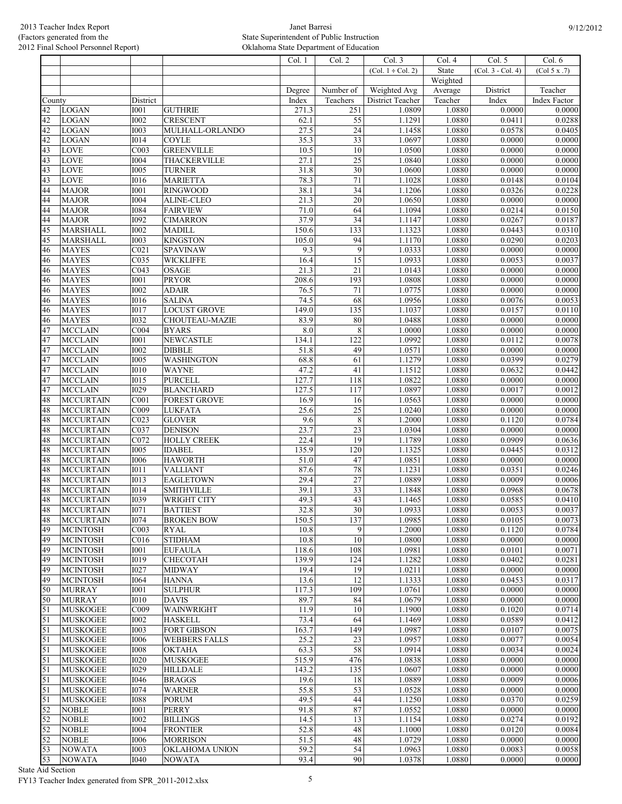|        |                  |                   |                       | Col. 1 | Col. 2          | Col. 3                 | Col.4    | Col. 5            | Col. 6              |
|--------|------------------|-------------------|-----------------------|--------|-----------------|------------------------|----------|-------------------|---------------------|
|        |                  |                   |                       |        |                 | $(Col. 1 \div Col. 2)$ | State    | (Col. 3 - Col. 4) | (Col 5 x .7)        |
|        |                  |                   |                       |        |                 |                        | Weighted |                   |                     |
|        |                  |                   |                       |        |                 |                        |          |                   |                     |
|        |                  |                   |                       | Degree | Number of       | Weighted Avg           | Average  | District          | Teacher             |
| County |                  | District          |                       | Index  | Teachers        | District Teacher       | Teacher  | Index             | <b>Index Factor</b> |
| 42     | <b>LOGAN</b>     | <b>I001</b>       | <b>GUTHRIE</b>        | 271.3  | 251             | 1.0809                 | 1.0880   | 0.0000            | 0.0000              |
| 42     | <b>LOGAN</b>     | 1002              | <b>CRESCENT</b>       | 62.1   | $\overline{55}$ | 1.1291                 | 1.0880   | 0.0411            | 0.0288              |
| 42     | <b>LOGAN</b>     | 1003              | MULHALL-ORLANDO       | 27.5   | $\overline{24}$ | 1.1458                 | 1.0880   | 0.0578            | 0.0405              |
| 42     | <b>LOGAN</b>     | <b>I014</b>       | <b>COYLE</b>          | 35.3   | 33              | 1.0697                 | 1.0880   | 0.0000            | 0.0000              |
| 43     | LOVE             | COO3              | <b>GREENVILLE</b>     | 10.5   | 10              | 1.0500                 | 1.0880   | 0.0000            | 0.0000              |
| 43     | <b>LOVE</b>      | <b>I004</b>       | <b>THACKERVILLE</b>   | 27.1   | $\overline{25}$ | 1.0840                 | 1.0880   | 0.0000            | 0.0000              |
| 43     | <b>LOVE</b>      | I005              | <b>TURNER</b>         | 31.8   | $\overline{30}$ | 1.0600                 | 1.0880   | 0.0000            | 0.0000              |
| 43     | LOVE             | 1016              | <b>MARIETTA</b>       | 78.3   | 71              | 1.1028                 | 1.0880   | 0.0148            | 0.0104              |
| 44     | <b>MAJOR</b>     | I001              | <b>RINGWOOD</b>       | 38.1   | 34              | 1.1206                 | 1.0880   | 0.0326            | 0.0228              |
|        |                  |                   |                       |        |                 |                        |          |                   |                     |
| 44     | <b>MAJOR</b>     | <b>I004</b>       | <b>ALINE-CLEO</b>     | 21.3   | $\overline{20}$ | 1.0650                 | 1.0880   | 0.0000            | 0.0000              |
| 44     | <b>MAJOR</b>     | <b>I084</b>       | <b>FAIRVIEW</b>       | 71.0   | $\overline{64}$ | 1.1094                 | 1.0880   | 0.0214            | 0.0150              |
| 44     | <b>MAJOR</b>     | <b>I092</b>       | <b>CIMARRON</b>       | 37.9   | 34              | 1.1147                 | 1.0880   | 0.0267            | 0.0187              |
| 45     | <b>MARSHALL</b>  | <b>I002</b>       | <b>MADILL</b>         | 150.6  | 133             | 1.1323                 | 1.0880   | 0.0443            | 0.0310              |
| 45     | <b>MARSHALL</b>  | 1003              | <b>KINGSTON</b>       | 105.0  | 94              | 1.1170                 | 1.0880   | 0.0290            | 0.0203              |
| 46     | <b>MAYES</b>     | CO <sub>21</sub>  | <b>SPAVINAW</b>       | 9.3    | $\overline{9}$  | 1.0333                 | 1.0880   | 0.0000            | 0.0000              |
| 46     | <b>MAYES</b>     | $\overline{C035}$ | <b>WICKLIFFE</b>      | 16.4   | $\overline{15}$ | 1.0933                 | 1.0880   | 0.0053            | 0.0037              |
| 46     | <b>MAYES</b>     | $\overline{C043}$ | <b>OSAGE</b>          | 21.3   | $\overline{21}$ | 1.0143                 | 1.0880   | 0.0000            | 0.0000              |
| 46     | <b>MAYES</b>     | $\overline{1001}$ | <b>PRYOR</b>          | 208.6  | 193             | 1.0808                 | 1.0880   | 0.0000            | 0.0000              |
| 46     | <b>MAYES</b>     | I002              | <b>ADAIR</b>          | 76.5   | 71              | 1.0775                 | 1.0880   | 0.0000            | 0.0000              |
|        |                  |                   | <b>SALINA</b>         | 74.5   |                 |                        |          |                   | 0.0053              |
| 46     | <b>MAYES</b>     | 1016              |                       |        | 68              | 1.0956                 | 1.0880   | 0.0076            |                     |
| 46     | <b>MAYES</b>     | <b>I017</b>       | <b>LOCUST GROVE</b>   | 149.0  | 135             | 1.1037                 | 1.0880   | 0.0157            | 0.0110              |
| 46     | <b>MAYES</b>     | <b>I032</b>       | CHOUTEAU-MAZIE        | 83.9   | 80              | 1.0488                 | 1.0880   | 0.0000            | 0.0000              |
| 47     | <b>MCCLAIN</b>   | CO04              | <b>BYARS</b>          | 8.0    | 8               | 1.0000                 | 1.0880   | 0.0000            | 0.0000              |
| 47     | <b>MCCLAIN</b>   | <b>I001</b>       | <b>NEWCASTLE</b>      | 134.1  | 122             | 1.0992                 | 1.0880   | 0.0112            | 0.0078              |
| 47     | <b>MCCLAIN</b>   | 1002              | <b>DIBBLE</b>         | 51.8   | 49              | 1.0571                 | 1.0880   | 0.0000            | 0.0000              |
| 47     | <b>MCCLAIN</b>   | <b>I005</b>       | <b>WASHINGTON</b>     | 68.8   | 61              | 1.1279                 | 1.0880   | 0.0399            | 0.0279              |
| 47     | <b>MCCLAIN</b>   | 1010              | <b>WAYNE</b>          | 47.2   | 41              | 1.1512                 | 1.0880   | 0.0632            | 0.0442              |
| 47     | <b>MCCLAIN</b>   | I015              | <b>PURCELL</b>        | 127.7  | 118             | 1.0822                 | 1.0880   | 0.0000            | 0.0000              |
| 47     | <b>MCCLAIN</b>   | <b>I029</b>       | <b>BLANCHARD</b>      | 127.5  | 117             | 1.0897                 | 1.0880   | 0.0017            | 0.0012              |
|        |                  |                   |                       |        |                 |                        |          |                   |                     |
| 48     | <b>MCCURTAIN</b> | C <sub>001</sub>  | <b>FOREST GROVE</b>   | 16.9   | 16              | 1.0563                 | 1.0880   | 0.0000            | 0.0000              |
| 48     | <b>MCCURTAIN</b> | COO9              | <b>LUKFATA</b>        | 25.6   | $\overline{25}$ | 1.0240                 | 1.0880   | 0.0000            | 0.0000              |
| 48     | <b>MCCURTAIN</b> | CO <sub>23</sub>  | <b>GLOVER</b>         | 9.6    | $\,8\,$         | 1.2000                 | 1.0880   | 0.1120            | 0.0784              |
| 48     | <b>MCCURTAIN</b> | $\overline{C037}$ | <b>DENISON</b>        | 23.7   | 23              | 1.0304                 | 1.0880   | 0.0000            | 0.0000              |
| 48     | <b>MCCURTAIN</b> | C072              | <b>HOLLY CREEK</b>    | 22.4   | 19              | 1.1789                 | 1.0880   | 0.0909            | 0.0636              |
| 48     | <b>MCCURTAIN</b> | <b>I005</b>       | <b>IDABEL</b>         | 135.9  | 120             | 1.1325                 | 1.0880   | 0.0445            | 0.0312              |
| 48     | <b>MCCURTAIN</b> | 1006              | <b>HAWORTH</b>        | 51.0   | 47              | 1.0851                 | 1.0880   | 0.0000            | 0.0000              |
| 48     | <b>MCCURTAIN</b> | <b>I011</b>       | <b>VALLIANT</b>       | 87.6   | 78              | 1.1231                 | 1.0880   | 0.0351            | 0.0246              |
| 48     | <b>MCCURTAIN</b> | <b>I013</b>       | <b>EAGLETOWN</b>      | 29.4   | 27              | 1.0889                 | 1.0880   | 0.0009            | 0.0006              |
| 48     | <b>MCCURTAIN</b> | $\overline{1014}$ | <b>SMITHVILLE</b>     | 39.1   | $\overline{33}$ | 1.1848                 | 1.0880   | 0.0968            | 0.0678              |
|        |                  |                   |                       |        | $\overline{43}$ |                        |          |                   |                     |
| 48     | <b>MCCURTAIN</b> | <b>I039</b>       | WRIGHT CITY           | 49.3   |                 | 1.1465                 | 1.0880   | 0.0585            | 0.0410              |
| 48     | <b>MCCURTAIN</b> | I071              | <b>BATTIEST</b>       | 32.8   | 30 <sup>2</sup> | 1.0933                 | 1.0880   | 0.0053            | 0.0037              |
| 48     | <b>MCCURTAIN</b> | <b>I074</b>       | <b>BROKEN BOW</b>     | 150.5  | 137             | 1.0985                 | 1.0880   | 0.0105            | 0.0073              |
| 49     | <b>MCINTOSH</b>  | CO <sub>03</sub>  | <b>RYAL</b>           | 10.8   | 9               | 1.2000                 | 1.0880   | 0.1120            | 0.0784              |
| 49     | <b>MCINTOSH</b>  | C016              | <b>STIDHAM</b>        | 10.8   | 10              | 1.0800                 | 1.0880   | 0.0000            | 0.0000              |
| 49     | <b>MCINTOSH</b>  | <b>I001</b>       | <b>EUFAULA</b>        | 118.6  | 108             | 1.0981                 | 1.0880   | 0.0101            | 0.0071              |
| 49     | <b>MCINTOSH</b>  | <b>I019</b>       | <b>CHECOTAH</b>       | 139.9  | 124             | 1.1282                 | 1.0880   | 0.0402            | 0.0281              |
| 49     | <b>MCINTOSH</b>  | <b>I027</b>       | <b>MIDWAY</b>         | 19.4   | 19              | 1.0211                 | 1.0880   | 0.0000            | 0.0000              |
| 49     | <b>MCINTOSH</b>  | <b>I064</b>       | <b>HANNA</b>          | 13.6   | $\overline{12}$ | 1.1333                 | 1.0880   | 0.0453            | 0.0317              |
| 50     | <b>MURRAY</b>    | <b>I001</b>       | <b>SULPHUR</b>        | 117.3  | 109             | 1.0761                 | 1.0880   | 0.0000            | 0.0000              |
|        | <b>MURRAY</b>    | <b>I010</b>       | <b>DAVIS</b>          | 89.7   | 84              | 1.0679                 | 1.0880   | 0.0000            | 0.0000              |
| 50     |                  |                   |                       |        |                 |                        |          |                   |                     |
| 51     | <b>MUSKOGEE</b>  | CO09              | WAINWRIGHT            | 11.9   | 10              | 1.1900                 | 1.0880   | 0.1020            | 0.0714              |
| 51     | <b>MUSKOGEE</b>  | <b>I002</b>       | <b>HASKELL</b>        | 73.4   | 64              | 1.1469                 | 1.0880   | 0.0589            | 0.0412              |
| 51     | <b>MUSKOGEE</b>  | <b>I003</b>       | <b>FORT GIBSON</b>    | 163.7  | 149             | 1.0987                 | 1.0880   | 0.0107            | 0.0075              |
| 51     | <b>MUSKOGEE</b>  | 1006              | <b>WEBBERS FALLS</b>  | 25.2   | $\overline{23}$ | 1.0957                 | 1.0880   | 0.0077            | 0.0054              |
| 51     | <b>MUSKOGEE</b>  | 1008              | <b>OKTAHA</b>         | 63.3   | 58              | 1.0914                 | 1.0880   | 0.0034            | 0.0024              |
| 51     | <b>MUSKOGEE</b>  | 1020              | <b>MUSKOGEE</b>       | 515.9  | 476             | 1.0838                 | 1.0880   | 0.0000            | 0.0000              |
| 51     | <b>MUSKOGEE</b>  | <b>I029</b>       | <b>HILLDALE</b>       | 143.2  | 135             | 1.0607                 | 1.0880   | 0.0000            | 0.0000              |
| 51     | <b>MUSKOGEE</b>  | <b>I046</b>       | <b>BRAGGS</b>         | 19.6   | 18              | 1.0889                 | 1.0880   | 0.0009            | 0.0006              |
| 51     | <b>MUSKOGEE</b>  | <b>I074</b>       | <b>WARNER</b>         | 55.8   | $\overline{53}$ | 1.0528                 | 1.0880   | 0.0000            | 0.0000              |
| 51     | <b>MUSKOGEE</b>  | 1088              | <b>PORUM</b>          | 49.5   | 44              | 1.1250                 | 1.0880   | 0.0370            | 0.0259              |
|        |                  |                   |                       |        |                 |                        |          |                   |                     |
| 52     | <b>NOBLE</b>     | <b>I001</b>       | <b>PERRY</b>          | 91.8   | 87              | 1.0552                 | 1.0880   | 0.0000            | 0.0000              |
| 52     | <b>NOBLE</b>     | 1002              | <b>BILLINGS</b>       | 14.5   | 13              | 1.1154                 | 1.0880   | 0.0274            | 0.0192              |
| 52     | <b>NOBLE</b>     | <b>I004</b>       | <b>FRONTIER</b>       | 52.8   | 48              | 1.1000                 | 1.0880   | 0.0120            | 0.0084              |
| 52     | <b>NOBLE</b>     | <b>I006</b>       | <b>MORRISON</b>       | 51.5   | 48              | 1.0729                 | 1.0880   | 0.0000            | 0.0000              |
| 53     | <b>NOWATA</b>    | 1003              | <b>OKLAHOMA UNION</b> | 59.2   | 54              | 1.0963                 | 1.0880   | 0.0083            | 0.0058              |
| 53     | <b>NOWATA</b>    | <b>I040</b>       | <b>NOWATA</b>         | 93.4   | 90              | 1.0378                 | 1.0880   | 0.0000            | 0.0000              |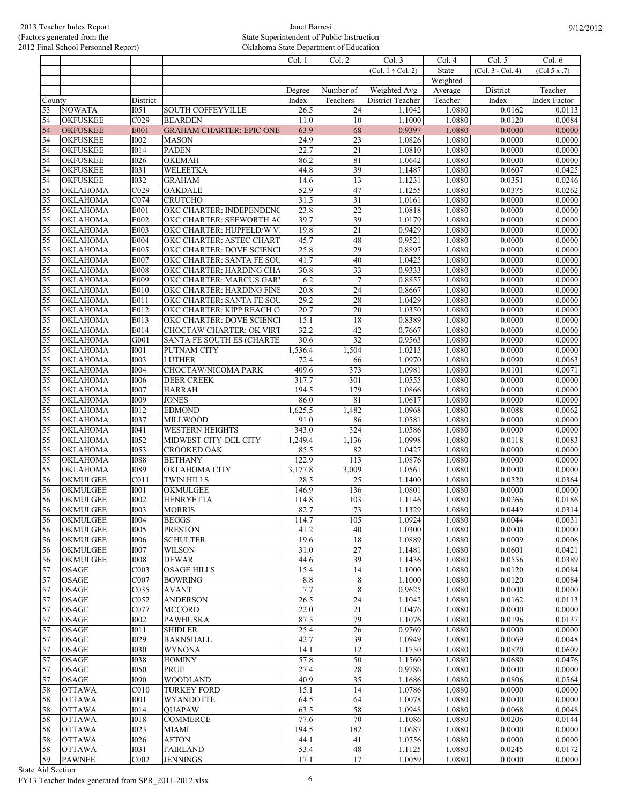|                 |                                    |                     |                                                        | Col. 1          | Col. 2                    | Col. 3                 | Col. 4           | Col. 5              | Col. 6           |
|-----------------|------------------------------------|---------------------|--------------------------------------------------------|-----------------|---------------------------|------------------------|------------------|---------------------|------------------|
|                 |                                    |                     |                                                        |                 |                           | $(Col. 1 \div Col. 2)$ | State            | $(Col. 3 - Col. 4)$ | (Col 5 x .7)     |
|                 |                                    |                     |                                                        |                 |                           |                        | Weighted         |                     |                  |
|                 |                                    |                     |                                                        | Degree          | Number of                 | Weighted Avg           | Average          | District            | Teacher          |
| County          |                                    | District            |                                                        | Index           | Teachers                  | District Teacher       | Teacher          | Index               | Index Factor     |
| 53              | <b>NOWATA</b>                      | I051                | <b>SOUTH COFFEYVILLE</b>                               | 26.5            | 24                        | 1.1042                 | 1.0880           | 0.0162              | 0.0113           |
| 54<br>54        | <b>OKFUSKEE</b><br><b>OKFUSKEE</b> | C029<br>E001        | <b>BEARDEN</b>                                         | 11.0<br>63.9    | 10<br>68                  | 1.1000                 | 1.0880           | 0.0120              | 0.0084           |
| 54              |                                    | <b>I002</b>         | <b>GRAHAM CHARTER: EPIC ONE</b>                        |                 | 23                        | 0.9397                 | 1.0880<br>1.0880 | 0.0000<br>0.0000    | 0.0000<br>0.0000 |
| 54              | <b>OKFUSKEE</b><br><b>OKFUSKEE</b> | <b>I014</b>         | <b>MASON</b><br><b>PADEN</b>                           | 24.9<br>22.7    | 21                        | 1.0826<br>1.0810       | 1.0880           | 0.0000              | 0.0000           |
| 54              | <b>OKFUSKEE</b>                    | <b>I026</b>         | <b>OKEMAH</b>                                          | 86.2            | 81                        | 1.0642                 | 1.0880           | 0.0000              | 0.0000           |
| 54              | <b>OKFUSKEE</b>                    | <b>I031</b>         | <b>WELEETKA</b>                                        | 44.8            | $\overline{39}$           | 1.1487                 | 1.0880           | 0.0607              | 0.0425           |
| 54              | <b>OKFUSKEE</b>                    | <b>I032</b>         | <b>GRAHAM</b>                                          | 14.6            | 13                        | 1.1231                 | 1.0880           | 0.0351              | 0.0246           |
| 55              | <b>OKLAHOMA</b>                    | C029                | OAKDALE                                                | 52.9            | 47                        | 1.1255                 | 1.0880           | 0.0375              | 0.0262           |
| 55              | <b>OKLAHOMA</b>                    | CO74                | <b>CRUTCHO</b>                                         | 31.5            | $\overline{31}$           | 1.0161                 | 1.0880           | 0.0000              | 0.0000           |
| 55              | <b>OKLAHOMA</b>                    | E001                | OKC CHARTER: INDEPENDENC                               | 23.8            | $\overline{22}$           | 1.0818                 | 1.0880           | 0.0000              | 0.0000           |
| 55              | OKLAHOMA                           | E002                | OKC CHARTER: SEEWORTH AC                               | 39.7            | 39                        | 1.0179                 | 1.0880           | 0.0000              | 0.0000           |
| 55              | OKLAHOMA                           | E003                | OKC CHARTER: HUPFELD/W V                               | 19.8            | 21                        | 0.9429                 | 1.0880           | 0.0000              | 0.0000           |
| 55              | <b>OKLAHOMA</b>                    | E004                | OKC CHARTER: ASTEC CHART                               | 45.7            | 48                        | 0.9521                 | 1.0880           | 0.0000              | 0.0000           |
| 55              | <b>OKLAHOMA</b>                    | E005                | OKC CHARTER: DOVE SCIENC                               | 25.8            | 29                        | 0.8897                 | 1.0880           | 0.0000              | 0.0000           |
| $\overline{55}$ | OKLAHOMA                           | E007                | OKC CHARTER: SANTA FE SOU                              | 41.7            | 40                        | 1.0425                 | 1.0880           | 0.0000              | 0.0000           |
| 55              | <b>OKLAHOMA</b>                    | E008                | OKC CHARTER: HARDING CHA                               | 30.8            | $\overline{33}$           | 0.9333                 | 1.0880           | 0.0000              | 0.0000           |
| 55<br>55        | <b>OKLAHOMA</b>                    | E009<br>E010        | OKC CHARTER: MARCUS GAR                                | 6.2<br>20.8     | $\tau$<br>$\overline{24}$ | 0.8857<br>0.8667       | 1.0880<br>1.0880 | 0.0000<br>0.0000    | 0.0000<br>0.0000 |
| $\overline{55}$ | <b>OKLAHOMA</b><br><b>OKLAHOMA</b> | E011                | OKC CHARTER: HARDING FINE<br>OKC CHARTER: SANTA FE SOU | 29.2            | 28                        | 1.0429                 | 1.0880           | 0.0000              | 0.0000           |
| $\overline{55}$ | <b>OKLAHOMA</b>                    | E012                | OKC CHARTER: KIPP REACH C                              | 20.7            | 20                        | 1.0350                 | 1.0880           | 0.0000              | 0.0000           |
| 55              | <b>OKLAHOMA</b>                    | E013                | OKC CHARTER: DOVE SCIENC                               | 15.1            | 18                        | 0.8389                 | 1.0880           | 0.0000              | 0.0000           |
| 55              | <b>OKLAHOMA</b>                    | E014                | <b>CHOCTAW CHARTER: OK VIRT</b>                        | 32.2            | 42                        | 0.7667                 | 1.0880           | 0.0000              | 0.0000           |
| 55              | <b>OKLAHOMA</b>                    | G001                | <b>SANTA FE SOUTH ES (CHARTE</b>                       | 30.6            | $\overline{32}$           | 0.9563                 | 1.0880           | 0.0000              | 0.0000           |
| $\overline{55}$ | <b>OKLAHOMA</b>                    | I001                | PUTNAM CITY                                            | 1,536.4         | 1,504                     | 1.0215                 | 1.0880           | 0.0000              | 0.0000           |
| 55              | <b>OKLAHOMA</b>                    | <b>I003</b>         | <b>LUTHER</b>                                          | 72.4            | 66                        | 1.0970                 | 1.0880           | 0.0090              | 0.0063           |
| 55              | OKLAHOMA                           | <b>I004</b>         | <b>CHOCTAW/NICOMA PARK</b>                             | 409.6           | 373                       | 1.0981                 | 1.0880           | 0.0101              | 0.0071           |
| $\overline{55}$ | <b>OKLAHOMA</b>                    | 1006                | <b>DEER CREEK</b>                                      | 317.7           | 301                       | 1.0555                 | 1.0880           | 0.0000              | 0.0000           |
| 55              | <b>OKLAHOMA</b>                    | <b>I007</b>         | <b>HARRAH</b>                                          | 194.5           | 179                       | 1.0866                 | 1.0880           | 0.0000              | 0.0000           |
| 55              | <b>OKLAHOMA</b>                    | <b>I009</b>         | <b>JONES</b>                                           | 86.0            | 81                        | 1.0617                 | 1.0880           | 0.0000              | 0.0000           |
| $\overline{55}$ | <b>OKLAHOMA</b>                    | <b>I012</b>         | <b>EDMOND</b>                                          | 1,625.5         | 1,482                     | 1.0968                 | 1.0880           | 0.0088              | 0.0062           |
| $\overline{55}$ | <b>OKLAHOMA</b>                    | <b>I037</b>         | <b>MILLWOOD</b>                                        | 91.0            | 86                        | 1.0581                 | 1.0880           | 0.0000              | 0.0000           |
| 55<br>55        | <b>OKLAHOMA</b><br><b>OKLAHOMA</b> | I041<br><b>I052</b> | <b>WESTERN HEIGHTS</b>                                 | 343.0           | 324                       | 1.0586                 | 1.0880           | 0.0000<br>0.0118    | 0.0000<br>0.0083 |
| 55              | <b>OKLAHOMA</b>                    | <b>I053</b>         | MIDWEST CITY-DEL CITY<br><b>CROOKED OAK</b>            | 1,249.4<br>85.5 | 1,136<br>82               | 1.0998<br>1.0427       | 1.0880<br>1.0880 | 0.0000              | 0.0000           |
| 55              | <b>OKLAHOMA</b>                    | <b>I088</b>         | <b>BETHANY</b>                                         | 122.9           | 113                       | 1.0876                 | 1.0880           | 0.0000              | 0.0000           |
| 55              | OKLAHOMA                           | <b>I089</b>         | OKLAHOMA CITY                                          | 3,177.8         | 3,009                     | 1.0561                 | 1.0880           | 0.0000              | 0.0000           |
| 56              | OKMULGEE                           | CO11                | <b>TWIN HILLS</b>                                      | 28.5            | $\overline{25}$           | 1.1400                 | 1.0880           | 0.0520              | 0.0364           |
| 56              | OKMULGEE                           | <b>IOO1</b>         | OKMULGEE                                               | 146.9           | 136                       | 1.0801                 | 1.0880           | 0.0000              | 0.0000           |
| 56              | <b>OKMULGEE</b>                    | <b>I002</b>         | <b>HENRYETTA</b>                                       | 114.8           | 103                       | 1.1146                 | 1.0880           | 0.0266              | 0.0186           |
| 56              | OKMULGEE                           | <b>I003</b>         | <b>MORRIS</b>                                          | 82.7            | 73                        | 1.1329                 | 1.0880           | 0.0449              | 0.0314           |
| 56              | <b>OKMULGEE</b>                    | 1004                | <b>BEGGS</b>                                           | 114.7           | 105                       | 1.0924                 | 1.0880           | 0.0044              | 0.0031           |
| 56              | <b>OKMULGEE</b>                    | 1005                | <b>PRESTON</b>                                         | 41.2            | 40                        | 1.0300                 | 1.0880           | 0.0000              | 0.0000           |
| 56              | OKMULGEE                           | 1006                | <b>SCHULTER</b>                                        | 19.6            | $\overline{18}$           | 1.0889                 | 1.0880           | 0.0009              | 0.0006           |
| 56              | OKMULGEE                           | <b>I007</b>         | <b>WILSON</b>                                          | 31.0            | $27\,$                    | 1.1481                 | 1.0880           | 0.0601              | 0.0421           |
| 56              | OKMULGEE                           | 1008                | <b>DEWAR</b>                                           | 44.6            | 39                        | 1.1436                 | 1.0880           | 0.0556              | 0.0389           |
| 57              | <b>OSAGE</b>                       | CO <sub>03</sub>    | <b>OSAGE HILLS</b>                                     | 15.4            | 14                        | 1.1000                 | 1.0880           | 0.0120              | 0.0084           |
| 57<br>57        | <b>OSAGE</b><br><b>OSAGE</b>       | C007<br>C035        | <b>BOWRING</b><br><b>AVANT</b>                         | 8.8<br>7.7      | $\,8\,$<br>$\sqrt{8}$     | 1.1000<br>0.9625       | 1.0880<br>1.0880 | 0.0120<br>0.0000    | 0.0084<br>0.0000 |
| 57              | <b>OSAGE</b>                       | C052                | <b>ANDERSON</b>                                        | 26.5            | $\overline{24}$           | 1.1042                 | 1.0880           | 0.0162              | 0.0113           |
| 57              | <b>OSAGE</b>                       | C077                | <b>MCCORD</b>                                          | 22.0            | 21                        | 1.0476                 | 1.0880           | 0.0000              | 0.0000           |
| 57              | <b>OSAGE</b>                       | <b>I002</b>         | <b>PAWHUSKA</b>                                        | 87.5            | 79                        | 1.1076                 | 1.0880           | 0.0196              | 0.0137           |
| 57              | <b>OSAGE</b>                       | I011                | <b>SHIDLER</b>                                         | 25.4            | $\overline{26}$           | 0.9769                 | 1.0880           | 0.0000              | 0.0000           |
| 57              | <b>OSAGE</b>                       | <b>I029</b>         | <b>BARNSDALL</b>                                       | 42.7            | 39                        | 1.0949                 | 1.0880           | 0.0069              | 0.0048           |
| 57              | <b>OSAGE</b>                       | 1030                | <b>WYNONA</b>                                          | 14.1            | 12                        | 1.1750                 | 1.0880           | 0.0870              | 0.0609           |
| 57              | OSAGE                              | 1038                | <b>HOMINY</b>                                          | 57.8            | 50                        | 1.1560                 | 1.0880           | 0.0680              | 0.0476           |
| 57              | <b>OSAGE</b>                       | <b>I050</b>         | <b>PRUE</b>                                            | 27.4            | 28                        | 0.9786                 | 1.0880           | 0.0000              | 0.0000           |
| 57              | <b>OSAGE</b>                       | 1090                | <b>WOODLAND</b>                                        | 40.9            | $\overline{35}$           | 1.1686                 | 1.0880           | 0.0806              | 0.0564           |
| 58              | <b>OTTAWA</b>                      | C <sub>010</sub>    | <b>TURKEY FORD</b>                                     | 15.1            | 14                        | 1.0786                 | 1.0880           | 0.0000              | 0.0000           |
| 58              | <b>OTTAWA</b>                      | <b>IOO1</b>         | <b>WYANDOTTE</b>                                       | 64.5            | 64                        | 1.0078                 | 1.0880           | 0.0000              | 0.0000           |
| 58              | <b>OTTAWA</b>                      | <b>I014</b>         | <b>OUAPAW</b>                                          | 63.5            | 58                        | 1.0948                 | 1.0880           | 0.0068              | 0.0048           |
| 58              | <b>OTTAWA</b>                      | 1018                | <b>COMMERCE</b>                                        | 77.6            | 70                        | 1.1086                 | 1.0880           | 0.0206              | 0.0144           |
| 58<br>58        | <b>OTTAWA</b>                      | <b>I023</b><br>1026 | <b>MIAMI</b>                                           | 194.5           | 182                       | 1.0687                 | 1.0880<br>1.0880 | 0.0000<br>0.0000    | 0.0000<br>0.0000 |
| 58              | <b>OTTAWA</b><br><b>OTTAWA</b>     | <b>I031</b>         | <b>AFTON</b><br><b>FAIRLAND</b>                        | 44.1<br>53.4    | 41<br>48                  | 1.0756<br>1.1125       | 1.0880           | 0.0245              | 0.0172           |
| 59              | <b>PAWNEE</b>                      | C002                | <b>JENNINGS</b>                                        | 17.1            | 17                        | 1.0059                 | 1.0880           | 0.0000              | 0.0000           |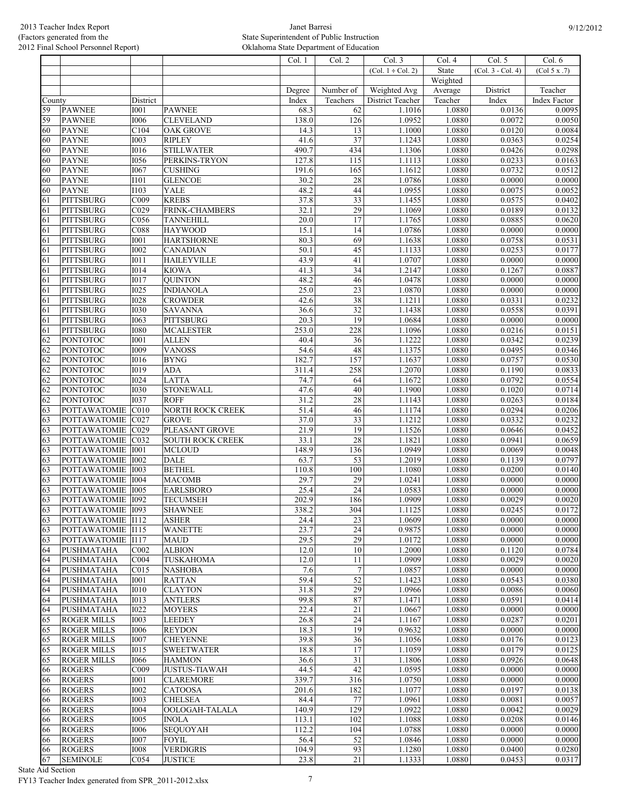|                 |                                      |                            |                                   | Col. 1       | Col. 2                | Col. 3                 | Col. 4           | Col. 5              | Col. 6           |
|-----------------|--------------------------------------|----------------------------|-----------------------------------|--------------|-----------------------|------------------------|------------------|---------------------|------------------|
|                 |                                      |                            |                                   |              |                       | $(Col. 1 \div Col. 2)$ | State            | $(Col. 3 - Col. 4)$ | (Col 5 x .7)     |
|                 |                                      |                            |                                   |              |                       |                        | Weighted         |                     |                  |
|                 |                                      |                            |                                   | Degree       | Number of             | Weighted Avg           | Average          | District            | Teacher          |
| County          |                                      | District                   |                                   | Index        | Teachers              | District Teacher       | Teacher          | Index               | Index Factor     |
| 59              | <b>PAWNEE</b>                        | I001                       | <b>PAWNEE</b>                     | 68.3         | 62                    | 1.1016                 | 1.0880           | 0.0136              | 0.0095           |
| 59              | <b>PAWNEE</b>                        | <b>I006</b>                | <b>CLEVELAND</b>                  | 138.0        | 126                   | 1.0952                 | 1.0880           | 0.0072              | 0.0050           |
| 60              | <b>PAYNE</b>                         | C104                       | <b>OAK GROVE</b>                  | 14.3         | $\overline{13}$       | 1.1000                 | 1.0880           | 0.0120              | 0.0084           |
| 60              | <b>PAYNE</b>                         | <b>I003</b>                | <b>RIPLEY</b>                     | 41.6         | 37                    | 1.1243                 | 1.0880           | 0.0363              | 0.0254           |
| 60              | <b>PAYNE</b>                         | <b>I016</b>                | <b>STILLWATER</b>                 | 490.7        | 434                   | 1.1306                 | 1.0880           | 0.0426              | 0.0298           |
| 60              | <b>PAYNE</b>                         | <b>I056</b>                | PERKINS-TRYON                     | 127.8        | 115                   | 1.1113                 | 1.0880           | 0.0233              | 0.0163           |
| 60              | <b>PAYNE</b>                         | <b>I067</b>                | <b>CUSHING</b>                    | 191.6        | 165                   | 1.1612                 | 1.0880           | 0.0732              | 0.0512           |
| 60              | <b>PAYNE</b>                         | I101                       | <b>GLENCOE</b>                    | 30.2         | 28                    | 1.0786                 | 1.0880           | 0.0000              | 0.0000           |
| 60              | <b>PAYNE</b>                         | I103                       | YALE                              | 48.2         | 44                    | 1.0955                 | 1.0880           | 0.0075              | 0.0052           |
| 61              | <b>PITTSBURG</b>                     | C009                       | <b>KREBS</b>                      | 37.8         | $\overline{33}$       | 1.1455                 | 1.0880           | 0.0575              | 0.0402           |
| 61              | <b>PITTSBURG</b>                     | CO <sub>29</sub>           | FRINK-CHAMBERS                    | 32.1         | $\overline{29}$       | 1.1069                 | 1.0880           | 0.0189              | 0.0132           |
| 61              | <b>PITTSBURG</b>                     | $\overline{C056}$          | <b>TANNEHILL</b>                  | 20.0         | 17                    | 1.1765                 | 1.0880           | 0.0885              | 0.0620           |
| 61              | <b>PITTSBURG</b>                     | C088                       | <b>HAYWOOD</b>                    | 15.1         | 14                    | 1.0786                 | 1.0880           | 0.0000              | 0.0000           |
| 61              | <b>PITTSBURG</b>                     | I001                       | <b>HARTSHORNE</b>                 | 80.3         | 69                    | 1.1638                 | 1.0880           | 0.0758              | 0.0531           |
| 61              | <b>PITTSBURG</b>                     | <b>I002</b>                | <b>CANADIAN</b>                   | 50.1         | $\overline{45}$       | 1.1133                 | 1.0880           | 0.0253              | 0.0177           |
| 61              | <b>PITTSBURG</b>                     | I011                       | <b>HAILEYVILLE</b>                | 43.9         | 41                    | 1.0707                 | 1.0880           | 0.0000              | 0.0000           |
| 61              | <b>PITTSBURG</b>                     | <b>I014</b>                | <b>KIOWA</b>                      | 41.3         | 34                    | 1.2147                 | 1.0880           | 0.1267              | 0.0887           |
| 61              | <b>PITTSBURG</b>                     | <b>I017</b>                | <b>QUINTON</b>                    | 48.2         | 46                    | 1.0478                 | 1.0880           | 0.0000              | 0.0000           |
| 61              | <b>PITTSBURG</b>                     | <b>I025</b>                | <b>INDIANOLA</b>                  | 25.0         | $\overline{23}$<br>38 | 1.0870                 | 1.0880           | 0.0000<br>0.0331    | 0.0000           |
| 61              | <b>PITTSBURG</b><br><b>PITTSBURG</b> | <b>I028</b>                | <b>CROWDER</b><br><b>SAVANNA</b>  | 42.6         | $\overline{32}$       | 1.1211                 | 1.0880<br>1.0880 | 0.0558              | 0.0232<br>0.0391 |
| 61<br>61        | <b>PITTSBURG</b>                     | <b>I030</b><br><b>I063</b> | <b>PITTSBURG</b>                  | 36.6<br>20.3 | 19                    | 1.1438<br>1.0684       | 1.0880           | 0.0000              | 0.0000           |
| 61              | <b>PITTSBURG</b>                     | <b>I080</b>                | <b>MCALESTER</b>                  | 253.0        | 228                   | 1.1096                 | 1.0880           | 0.0216              | 0.0151           |
| 62              | <b>PONTOTOC</b>                      | I001                       | <b>ALLEN</b>                      | 40.4         | $\overline{36}$       | 1.1222                 | 1.0880           | 0.0342              | 0.0239           |
| 62              | <b>PONTOTOC</b>                      | <b>I009</b>                | <b>VANOSS</b>                     | 54.6         | 48                    | 1.1375                 | 1.0880           | 0.0495              | 0.0346           |
| 62              | <b>PONTOTOC</b>                      | <b>I016</b>                | <b>BYNG</b>                       | 182.7        | 157                   | 1.1637                 | 1.0880           | 0.0757              | 0.0530           |
| $\overline{62}$ | PONTOTOC                             | I019                       | <b>ADA</b>                        | 311.4        | 258                   | 1.2070                 | 1.0880           | 0.1190              | 0.0833           |
| 62              | PONTOTOC                             | <b>I024</b>                | <b>LATTA</b>                      | 74.7         | 64                    | 1.1672                 | 1.0880           | 0.0792              | 0.0554           |
| 62              | <b>PONTOTOC</b>                      | <b>I030</b>                | <b>STONEWALL</b>                  | 47.6         | 40                    | 1.1900                 | 1.0880           | 0.1020              | 0.0714           |
| 62              | <b>PONTOTOC</b>                      | <b>I037</b>                | <b>ROFF</b>                       | 31.2         | 28                    | 1.1143                 | 1.0880           | 0.0263              | 0.0184           |
| 63              | <b>POTTAWATOMIE</b>                  | $\overline{C010}$          | <b>NORTH ROCK CREEK</b>           | 51.4         | 46                    | 1.1174                 | 1.0880           | 0.0294              | 0.0206           |
| 63              | <b>POTTAWATOMIE</b>                  | CO27                       | <b>GROVE</b>                      | 37.0         | $\overline{33}$       | 1.1212                 | 1.0880           | 0.0332              | 0.0232           |
| 63              | <b>POTTAWATOMIE</b>                  | CO <sub>29</sub>           | PLEASANT GROVE                    | 21.9         | 19                    | 1.1526                 | 1.0880           | 0.0646              | 0.0452           |
| 63              | <b>POTTAWATOMIE</b>                  | CO32                       | <b>SOUTH ROCK CREEK</b>           | 33.1         | 28                    | 1.1821                 | 1.0880           | 0.0941              | 0.0659           |
| 63              | <b>POTTAWATOMIE</b>                  | <b>I001</b>                | <b>MCLOUD</b>                     | 148.9        | 136                   | 1.0949                 | 1.0880           | 0.0069              | 0.0048           |
| 63              | <b>POTTAWATOMIE</b>                  | <b>I002</b>                | <b>DALE</b>                       | 63.7         | $\overline{53}$       | 1.2019                 | 1.0880           | 0.1139              | 0.0797           |
| 63              | POTTAWATOMIE                         | 1003                       | <b>BETHEL</b>                     | 110.8        | 100                   | 1.1080                 | 1.0880           | 0.0200              | 0.0140           |
| 63              | <b>POTTAWATOMIE</b>                  | 1004                       | <b>MACOMB</b>                     | 29.7         | 29                    | 1.0241                 | 1.0880           | 0.0000              | 0.0000           |
| 63              | <b>POTTAWATOMIE</b>                  | 1005                       | <b>EARLSBORO</b>                  | 25.4         | $\overline{24}$       | 1.0583                 | 1.0880           | 0.0000              | 0.0000           |
| 63              | <b>POTTAWATOMIE</b>                  | 1092                       | <b>TECUMSEH</b>                   | 202.9        | 186                   | 1.0909                 | 1.0880           | 0.0029              | 0.0020           |
| 63              | POTTAWATOMIE   1093                  |                            | <b>SHAWNEE</b>                    | 338.2        | 304                   | 1.1125                 | 1.0880           | 0.0245              | 0.0172           |
| 63              | POTTAWATOMIE <sup>I112</sup>         |                            | <b>ASHER</b>                      | 24.4         | 23                    | 1.0609                 | 1.0880           | 0.0000              | 0.0000           |
| 63              | POTTAWATOMIE 1115                    |                            | <b>WANETTE</b>                    | 23.7         | 24                    | 0.9875                 | 1.0880           | 0.0000              | 0.0000           |
| 63              | POTTAWATOMIE <sup>I117</sup>         |                            | <b>MAUD</b>                       | 29.5         | 29                    | 1.0172                 | 1.0880           | 0.0000<br>0.1120    | 0.0000           |
| 64<br>64        | PUSHMATAHA<br>PUSHMATAHA             | CO <sub>02</sub><br>COO4   | <b>ALBION</b><br><b>TUSKAHOMA</b> | 12.0<br>12.0 | 10<br>11              | 1.2000<br>1.0909       | 1.0880<br>1.0880 | 0.0029              | 0.0784<br>0.0020 |
| 64              | <b>PUSHMATAHA</b>                    | C015                       | <b>NASHOBA</b>                    | 7.6          | $\overline{7}$        | 1.0857                 | 1.0880           | 0.0000              | 0.0000           |
| 64              | PUSHMATAHA                           | <b>I001</b>                | <b>RATTAN</b>                     | 59.4         | 52                    | 1.1423                 | 1.0880           | 0.0543              | 0.0380           |
| 64              | PUSHMATAHA                           | <b>I010</b>                | <b>CLAYTON</b>                    | 31.8         | 29                    | 1.0966                 | 1.0880           | 0.0086              | 0.0060           |
| 64              | PUSHMATAHA                           | I013                       | <b>ANTLERS</b>                    | 99.8         | 87                    | 1.1471                 | 1.0880           | 0.0591              | 0.0414           |
| 64              | PUSHMATAHA                           | <b>I022</b>                | <b>MOYERS</b>                     | 22.4         | $21\,$                | 1.0667                 | 1.0880           | 0.0000              | 0.0000           |
| 65              | <b>ROGER MILLS</b>                   | <b>I003</b>                | <b>LEEDEY</b>                     | 26.8         | 24                    | 1.1167                 | 1.0880           | 0.0287              | 0.0201           |
| 65              | <b>ROGER MILLS</b>                   | <b>I006</b>                | <b>REYDON</b>                     | 18.3         | 19                    | 0.9632                 | 1.0880           | 0.0000              | 0.0000           |
| 65              | <b>ROGER MILLS</b>                   | <b>I007</b>                | <b>CHEYENNE</b>                   | 39.8         | $\overline{36}$       | 1.1056                 | 1.0880           | 0.0176              | 0.0123           |
| 65              | <b>ROGER MILLS</b>                   | I015                       | <b>SWEETWATER</b>                 | 18.8         | 17                    | 1.1059                 | 1.0880           | 0.0179              | 0.0125           |
| 65              | <b>ROGER MILLS</b>                   | <b>I066</b>                | <b>HAMMON</b>                     | 36.6         | $\overline{31}$       | 1.1806                 | 1.0880           | 0.0926              | 0.0648           |
| 66              | <b>ROGERS</b>                        | C009                       | <b>JUSTUS-TIAWAH</b>              | 44.5         | 42                    | 1.0595                 | 1.0880           | 0.0000              | 0.0000           |
| 66              | <b>ROGERS</b>                        | <b>I001</b>                | <b>CLAREMORE</b>                  | 339.7        | 316                   | 1.0750                 | 1.0880           | 0.0000              | 0.0000           |
| 66              | <b>ROGERS</b>                        | <b>I002</b>                | <b>CATOOSA</b>                    | 201.6        | 182                   | 1.1077                 | 1.0880           | 0.0197              | 0.0138           |
| 66              | <b>ROGERS</b>                        | <b>I003</b>                | <b>CHELSEA</b>                    | 84.4         | $77\,$                | 1.0961                 | 1.0880           | 0.0081              | 0.0057           |
| 66              | <b>ROGERS</b>                        | <b>I004</b>                | OOLOGAH-TALALA                    | 140.9        | 129                   | 1.0922                 | 1.0880           | 0.0042              | 0.0029           |
| 66              | <b>ROGERS</b>                        | <b>I005</b>                | <b>INOLA</b>                      | 113.1        | 102                   | 1.1088                 | 1.0880           | 0.0208              | 0.0146           |
| 66              | <b>ROGERS</b>                        | 1006                       | <b>SEQUOYAH</b>                   | 112.2        | 104                   | 1.0788                 | 1.0880           | 0.0000              | 0.0000           |
| 66              | <b>ROGERS</b>                        | <b>I007</b>                | <b>FOYIL</b>                      | 56.4         | $\overline{52}$       | 1.0846                 | 1.0880           | 0.0000              | 0.0000           |
| 66              | <b>ROGERS</b>                        | <b>I008</b>                | <b>VERDIGRIS</b>                  | 104.9        | 93                    | 1.1280                 | 1.0880           | 0.0400              | 0.0280           |
| 67              | <b>SEMINOLE</b>                      | C <sub>054</sub>           | <b>JUSTICE</b>                    | 23.8         | 21                    | 1.1333                 | 1.0880           | 0.0453              | 0.0317           |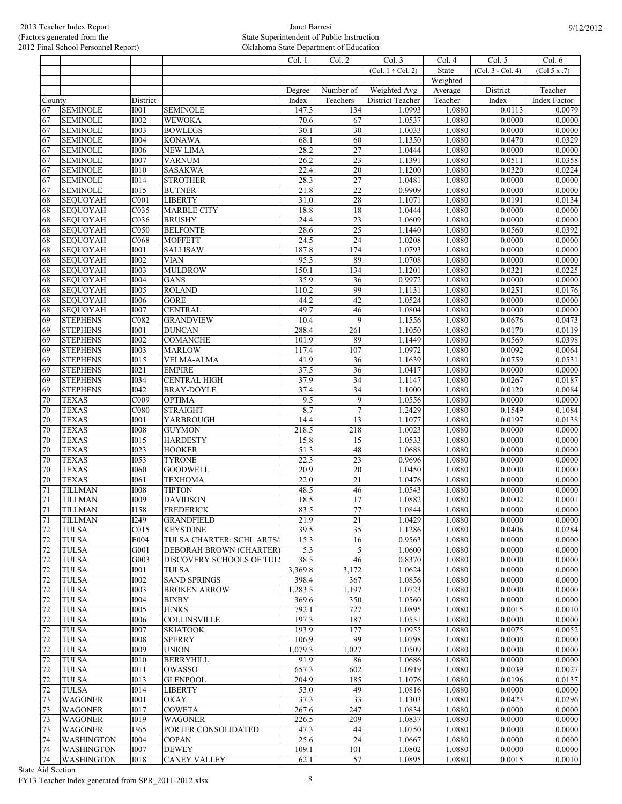|              |                                    |                     |                                     | $\overline{\text{Col}}$ . 1 | Col. 2                | Col. 3                 | Col. 4           | Col. 5              | Col. 6           |
|--------------|------------------------------------|---------------------|-------------------------------------|-----------------------------|-----------------------|------------------------|------------------|---------------------|------------------|
|              |                                    |                     |                                     |                             |                       | $(Col. 1 \div Col. 2)$ | State            | $(Col. 3 - Col. 4)$ | (Col 5 x .7)     |
|              |                                    |                     |                                     |                             |                       |                        | Weighted         |                     |                  |
|              |                                    |                     |                                     | Degree                      | Number of             | Weighted Avg           | Average          | District            | Teacher          |
| County       |                                    | District            |                                     | Index                       | Teachers              | District Teacher       | Teacher          | Index               | Index Factor     |
| 67           | <b>SEMINOLE</b>                    | <b>I001</b>         | <b>SEMINOLE</b>                     | 147.3                       | 134                   | 1.0993                 | 1.0880           | 0.0113              | 0.0079           |
| 67           | <b>SEMINOLE</b>                    | 1002                | <b>WEWOKA</b>                       | 70.6                        | 67                    | 1.0537                 | 1.0880           | 0.0000              | 0.0000           |
| 67           | <b>SEMINOLE</b>                    | <b>I003</b>         | <b>BOWLEGS</b>                      | 30.1                        | $\overline{30}$       | 1.0033                 | 1.0880           | 0.0000              | 0.0000           |
| 67           | <b>SEMINOLE</b>                    | <b>I004</b>         | <b>KONAWA</b>                       | 68.1                        | 60                    | 1.1350                 | 1.0880           | 0.0470              | 0.0329           |
| 67           | <b>SEMINOLE</b>                    | <b>I006</b><br>1007 | <b>NEW LIMA</b>                     | 28.2<br>26.2                | 27<br>$\overline{23}$ | 1.0444                 | 1.0880           | 0.0000              | 0.0000           |
| 67<br>67     | <b>SEMINOLE</b><br><b>SEMINOLE</b> | <b>I010</b>         | <b>VARNUM</b><br><b>SASAKWA</b>     | 22.4                        | $\overline{20}$       | 1.1391<br>1.1200       | 1.0880<br>1.0880 | 0.0511<br>0.0320    | 0.0358<br>0.0224 |
| 67           | <b>SEMINOLE</b>                    | I014                | <b>STROTHER</b>                     | 28.3                        | $\overline{27}$       | 1.0481                 | 1.0880           | 0.0000              | 0.0000           |
| 67           | <b>SEMINOLE</b>                    | <b>I015</b>         | <b>BUTNER</b>                       | 21.8                        | $\overline{22}$       | 0.9909                 | 1.0880           | 0.0000              | 0.0000           |
| 68           | <b>SEQUOYAH</b>                    | C <sub>001</sub>    | <b>LIBERTY</b>                      | 31.0                        | $\overline{28}$       | 1.1071                 | 1.0880           | 0.0191              | 0.0134           |
| 68           | <b>SEQUOYAH</b>                    | C035                | <b>MARBLE CITY</b>                  | 18.8                        | 18                    | 1.0444                 | 1.0880           | 0.0000              | 0.0000           |
| 68           | <b>SEQUOYAH</b>                    | C036                | <b>BRUSHY</b>                       | 24.4                        | 23                    | 1.0609                 | 1.0880           | 0.0000              | 0.0000           |
| 68           | <b>SEQUOYAH</b>                    | C050                | <b>BELFONTE</b>                     | 28.6                        | 25                    | 1.1440                 | 1.0880           | 0.0560              | 0.0392           |
| 68           | <b>SEQUOYAH</b>                    | C068                | <b>MOFFETT</b>                      | 24.5                        | 24                    | 1.0208                 | 1.0880           | 0.0000              | 0.0000           |
| 68           | <b>SEQUOYAH</b>                    | <b>I001</b>         | <b>SALLISAW</b>                     | 187.8                       | 174                   | 1.0793                 | 1.0880           | 0.0000              | 0.0000           |
| 68           | <b>SEQUOYAH</b>                    | <b>I002</b>         | <b>VIAN</b>                         | 95.3                        | 89                    | 1.0708                 | 1.0880           | 0.0000              | 0.0000           |
| 68           | <b>SEQUOYAH</b>                    | <b>I003</b>         | <b>MULDROW</b>                      | 150.1                       | 134                   | 1.1201                 | 1.0880           | 0.0321              | 0.0225           |
| 68           | <b>SEQUOYAH</b>                    | <b>I004</b>         | <b>GANS</b>                         | 35.9                        | 36                    | 0.9972                 | 1.0880           | 0.0000              | 0.0000           |
| 68           | <b>SEQUOYAH</b>                    | <b>I005</b>         | <b>ROLAND</b>                       | 110.2                       | 99                    | 1.1131                 | 1.0880           | 0.0251              | 0.0176           |
| 68           | <b>SEQUOYAH</b>                    | <b>I006</b>         | <b>GORE</b>                         | 44.2                        | 42                    | 1.0524                 | 1.0880           | 0.0000              | 0.0000           |
| 68           | <b>SEQUOYAH</b>                    | <b>I007</b>         | <b>CENTRAL</b>                      | 49.7                        | 46                    | 1.0804                 | 1.0880           | 0.0000              | 0.0000           |
| 69           | <b>STEPHENS</b>                    | C082                | <b>GRANDVIEW</b>                    | 10.4                        | $\overline{9}$        | 1.1556                 | 1.0880           | 0.0676              | 0.0473           |
| 69           | <b>STEPHENS</b>                    | I001                | <b>DUNCAN</b>                       | 288.4                       | 261                   | 1.1050                 | 1.0880           | 0.0170              | 0.0119           |
| 69           | <b>STEPHENS</b>                    | <b>I002</b>         | <b>COMANCHE</b>                     | 101.9                       | 89                    | 1.1449                 | 1.0880           | 0.0569              | 0.0398           |
| 69           | <b>STEPHENS</b>                    | <b>I003</b>         | <b>MARLOW</b>                       | 117.4                       | 107                   | 1.0972                 | 1.0880           | 0.0092              | 0.0064           |
| 69           | <b>STEPHENS</b>                    | I015                | <b>VELMA-ALMA</b>                   | 41.9                        | 36                    | 1.1639                 | 1.0880           | 0.0759              | 0.0531           |
| 69           | <b>STEPHENS</b>                    | I021                | <b>EMPIRE</b>                       | 37.5                        | $\overline{36}$       | 1.0417                 | 1.0880           | 0.0000              | 0.0000           |
| 69           | <b>STEPHENS</b>                    | <b>I034</b><br>I042 | <b>CENTRAL HIGH</b>                 | 37.9<br>37.4                | 34<br>$\overline{34}$ | 1.1147                 | 1.0880           | 0.0267              | 0.0187           |
| 69<br>70     | <b>STEPHENS</b><br><b>TEXAS</b>    | C009                | <b>BRAY-DOYLE</b><br><b>OPTIMA</b>  | 9.5                         | $\overline{9}$        | 1.1000<br>1.0556       | 1.0880<br>1.0880 | 0.0120<br>0.0000    | 0.0084<br>0.0000 |
| 70           | <b>TEXAS</b>                       | C080                | <b>STRAIGHT</b>                     | 8.7                         | $\overline{7}$        | 1.2429                 | 1.0880           | 0.1549              | 0.1084           |
| 70           | <b>TEXAS</b>                       | I001                | YARBROUGH                           | 14.4                        | 13                    | 1.1077                 | 1.0880           | 0.0197              | 0.0138           |
| 70           | <b>TEXAS</b>                       | <b>I008</b>         | <b>GUYMON</b>                       | 218.5                       | 218                   | 1.0023                 | 1.0880           | 0.0000              | 0.0000           |
| 70           | <b>TEXAS</b>                       | <b>I015</b>         | <b>HARDESTY</b>                     | 15.8                        | 15                    | 1.0533                 | 1.0880           | 0.0000              | 0.0000           |
| 70           | <b>TEXAS</b>                       | <b>I023</b>         | <b>HOOKER</b>                       | 51.3                        | $\overline{48}$       | 1.0688                 | 1.0880           | 0.0000              | 0.0000           |
| 70           | <b>TEXAS</b>                       | <b>I053</b>         | <b>TYRONE</b>                       | 22.3                        | 23                    | 0.9696                 | 1.0880           | 0.0000              | 0.0000           |
| 70           | <b>TEXAS</b>                       | <b>I060</b>         | <b>GOODWELL</b>                     | 20.9                        | 20                    | 1.0450                 | 1.0880           | 0.0000              | 0.0000           |
| 70           | <b>TEXAS</b>                       | <b>I061</b>         | <b>TEXHOMA</b>                      | 22.0                        | $\overline{21}$       | 1.0476                 | 1.0880           | 0.0000              | 0.0000           |
| 71           | <b>TILLMAN</b>                     | <b>I008</b>         | <b>TIPTON</b>                       | 48.5                        | 46                    | 1.0543                 | 1.0880           | 0.0000              | 0.0000           |
| 71           | <b>TILLMAN</b>                     | <b>I009</b>         | <b>DAVIDSON</b>                     | 18.5                        | 17                    | 1.0882                 | 1.0880           | 0.0002              | 0.0001           |
| 71           | <b>TILLMAN</b>                     | <b>I158</b>         | <b>FREDERICK</b>                    | 83.5                        | 77                    | 1.0844                 | 1.0880           | 0.0000              | 0.0000           |
| 71           | <b>TILLMAN</b>                     | I249                | <b>GRANDFIELD</b>                   | 21.9                        | 21                    | 1.0429                 | 1.0880           | 0.0000              | 0.0000           |
| 72           | <b>TULSA</b>                       | C015                | <b>KEYSTONE</b>                     | 39.5                        | 35                    | 1.1286                 | 1.0880           | 0.0406              | 0.0284           |
| 72           | <b>TULSA</b>                       | E004                | TULSA CHARTER: SCHL ARTS/           | 15.3                        | 16                    | 0.9563                 | 1.0880           | 0.0000              | 0.0000           |
| 72           | <b>TULSA</b>                       | G001                | DEBORAH BROWN (CHARTER)             | 5.3                         | 5                     | 1.0600                 | 1.0880           | 0.0000              | 0.0000           |
| 72           | <b>TULSA</b>                       | G003                | DISCOVERY SCHOOLS OF TUL            | 38.5                        | 46                    | 0.8370                 | 1.0880           | 0.0000              | 0.0000           |
| 72           | <b>TULSA</b>                       | <b>I001</b>         | <b>TULSA</b>                        | 3,369.8                     | 3,172                 | 1.0624                 | 1.0880           | 0.0000              | 0.0000           |
| $72\,$       | <b>TULSA</b>                       | <b>I002</b>         | <b>SAND SPRINGS</b>                 | 398.4                       | 367                   | 1.0856                 | 1.0880           | 0.0000              | 0.0000           |
| 72           | <b>TULSA</b>                       | <b>I003</b>         | <b>BROKEN ARROW</b>                 | 1,283.5                     | 1,197                 | 1.0723                 | 1.0880           | 0.0000              | 0.0000           |
| 72           | <b>TULSA</b>                       | <b>I004</b>         | <b>BIXBY</b>                        | 369.6                       | 350                   | 1.0560                 | 1.0880           | 0.0000              | 0.0000           |
| 72           | <b>TULSA</b>                       | <b>I005</b><br>1006 | <b>JENKS</b><br><b>COLLINSVILLE</b> | 792.1<br>197.3              | 727<br>187            | 1.0895                 | 1.0880<br>1.0880 | 0.0015<br>0.0000    | 0.0010<br>0.0000 |
| 72           | <b>TULSA</b><br><b>TULSA</b>       | <b>I007</b>         | <b>SKIATOOK</b>                     | 193.9                       |                       | 1.0551                 | 1.0880           | 0.0075              | 0.0052           |
| $72\,$<br>72 | <b>TULSA</b>                       | <b>I008</b>         | <b>SPERRY</b>                       | 106.9                       | 177<br>99             | 1.0955<br>1.0798       | 1.0880           | 0.0000              | 0.0000           |
| 72           | <b>TULSA</b>                       | <b>I009</b>         | <b>UNION</b>                        | 1,079.3                     | 1,027                 | 1.0509                 | 1.0880           | 0.0000              | 0.0000           |
| $72\,$       | <b>TULSA</b>                       | <b>I010</b>         | <b>BERRYHILL</b>                    | 91.9                        | 86                    | 1.0686                 | 1.0880           | 0.0000              | 0.0000           |
| 72           | <b>TULSA</b>                       | <b>I011</b>         | OWASSO                              | 657.3                       | 602                   | 1.0919                 | 1.0880           | 0.0039              | 0.0027           |
| 72           | <b>TULSA</b>                       | I013                | <b>GLENPOOL</b>                     | 204.9                       | 185                   | 1.1076                 | 1.0880           | 0.0196              | 0.0137           |
| 72           | <b>TULSA</b>                       | <b>I014</b>         | <b>LIBERTY</b>                      | 53.0                        | 49                    | 1.0816                 | 1.0880           | 0.0000              | 0.0000           |
| 73           | <b>WAGONER</b>                     | <b>I001</b>         | <b>OKAY</b>                         | 37.3                        | $\overline{33}$       | 1.1303                 | 1.0880           | 0.0423              | 0.0296           |
| 73           | <b>WAGONER</b>                     | <b>I017</b>         | <b>COWETA</b>                       | 267.6                       | 247                   | 1.0834                 | 1.0880           | 0.0000              | 0.0000           |
| 73           | <b>WAGONER</b>                     | <b>I019</b>         | <b>WAGONER</b>                      | 226.5                       | 209                   | 1.0837                 | 1.0880           | 0.0000              | 0.0000           |
| 73           | <b>WAGONER</b>                     | I365                | PORTER CONSOLIDATED                 | 47.3                        | 44                    | 1.0750                 | 1.0880           | 0.0000              | 0.0000           |
| 74           | <b>WASHINGTON</b>                  | <b>I004</b>         | <b>COPAN</b>                        | 25.6                        | 24                    | 1.0667                 | 1.0880           | 0.0000              | 0.0000           |
| 74           | <b>WASHINGTON</b>                  | <b>I007</b>         | <b>DEWEY</b>                        | 109.1                       | 101                   | 1.0802                 | 1.0880           | 0.0000              | 0.0000           |
| 74           | <b>WASHINGTON</b>                  | <b>I018</b>         | <b>CANEY VALLEY</b>                 | 62.1                        | 57                    | 1.0895                 | 1.0880           | 0.0015              | 0.0010           |